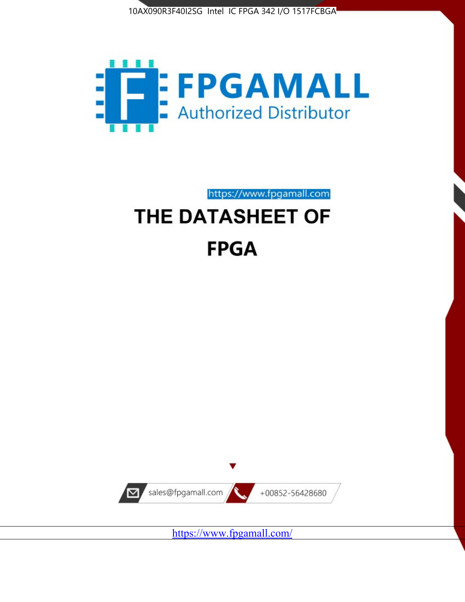



https://www.fpgamall.com

# THE DATASHEET OF **FPGA**



<https://www.fpgamall.com/>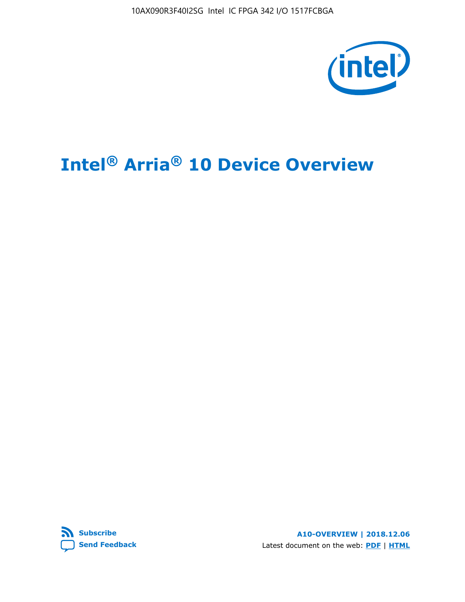

# **Intel® Arria® 10 Device Overview**



**A10-OVERVIEW | 2018.12.06** Latest document on the web: **[PDF](https://www.intel.com/content/dam/www/programmable/us/en/pdfs/literature/hb/arria-10/a10_overview.pdf)** | **[HTML](https://www.intel.com/content/www/us/en/programmable/documentation/sam1403480274650.html)**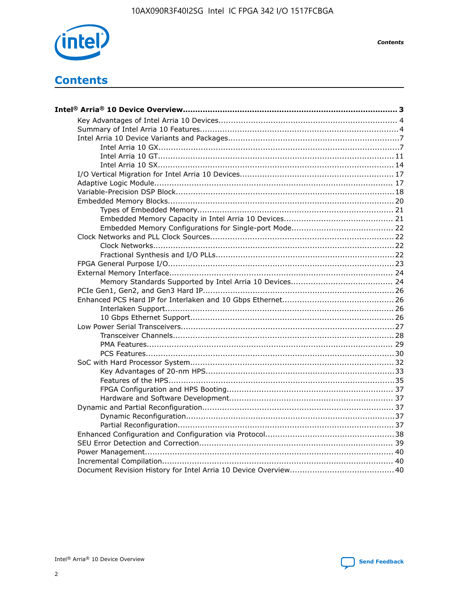

**Contents** 

# **Contents**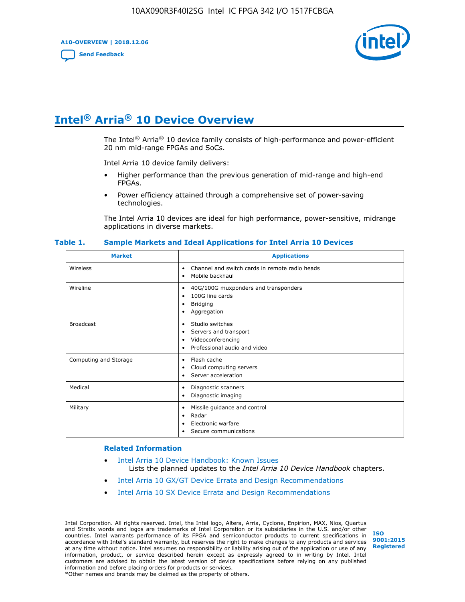**A10-OVERVIEW | 2018.12.06**

**[Send Feedback](mailto:FPGAtechdocfeedback@intel.com?subject=Feedback%20on%20Intel%20Arria%2010%20Device%20Overview%20(A10-OVERVIEW%202018.12.06)&body=We%20appreciate%20your%20feedback.%20In%20your%20comments,%20also%20specify%20the%20page%20number%20or%20paragraph.%20Thank%20you.)**



# **Intel® Arria® 10 Device Overview**

The Intel<sup>®</sup> Arria<sup>®</sup> 10 device family consists of high-performance and power-efficient 20 nm mid-range FPGAs and SoCs.

Intel Arria 10 device family delivers:

- Higher performance than the previous generation of mid-range and high-end FPGAs.
- Power efficiency attained through a comprehensive set of power-saving technologies.

The Intel Arria 10 devices are ideal for high performance, power-sensitive, midrange applications in diverse markets.

| <b>Market</b>         | <b>Applications</b>                                                                                               |
|-----------------------|-------------------------------------------------------------------------------------------------------------------|
| Wireless              | Channel and switch cards in remote radio heads<br>٠<br>Mobile backhaul<br>٠                                       |
| Wireline              | 40G/100G muxponders and transponders<br>٠<br>100G line cards<br>٠<br>Bridging<br>٠<br>Aggregation<br>٠            |
| <b>Broadcast</b>      | Studio switches<br>٠<br>Servers and transport<br>٠<br>Videoconferencing<br>٠<br>Professional audio and video<br>٠ |
| Computing and Storage | Flash cache<br>٠<br>Cloud computing servers<br>٠<br>Server acceleration<br>$\bullet$                              |
| Medical               | Diagnostic scanners<br>٠<br>Diagnostic imaging<br>٠                                                               |
| Military              | Missile guidance and control<br>٠<br>Radar<br>٠<br>Electronic warfare<br>٠<br>Secure communications<br>٠          |

#### **Table 1. Sample Markets and Ideal Applications for Intel Arria 10 Devices**

#### **Related Information**

- [Intel Arria 10 Device Handbook: Known Issues](http://www.altera.com/support/kdb/solutions/rd07302013_646.html) Lists the planned updates to the *Intel Arria 10 Device Handbook* chapters.
- [Intel Arria 10 GX/GT Device Errata and Design Recommendations](https://www.intel.com/content/www/us/en/programmable/documentation/agz1493851706374.html#yqz1494433888646)
- [Intel Arria 10 SX Device Errata and Design Recommendations](https://www.intel.com/content/www/us/en/programmable/documentation/cru1462832385668.html#cru1462832558642)

Intel Corporation. All rights reserved. Intel, the Intel logo, Altera, Arria, Cyclone, Enpirion, MAX, Nios, Quartus and Stratix words and logos are trademarks of Intel Corporation or its subsidiaries in the U.S. and/or other countries. Intel warrants performance of its FPGA and semiconductor products to current specifications in accordance with Intel's standard warranty, but reserves the right to make changes to any products and services at any time without notice. Intel assumes no responsibility or liability arising out of the application or use of any information, product, or service described herein except as expressly agreed to in writing by Intel. Intel customers are advised to obtain the latest version of device specifications before relying on any published information and before placing orders for products or services. \*Other names and brands may be claimed as the property of others.

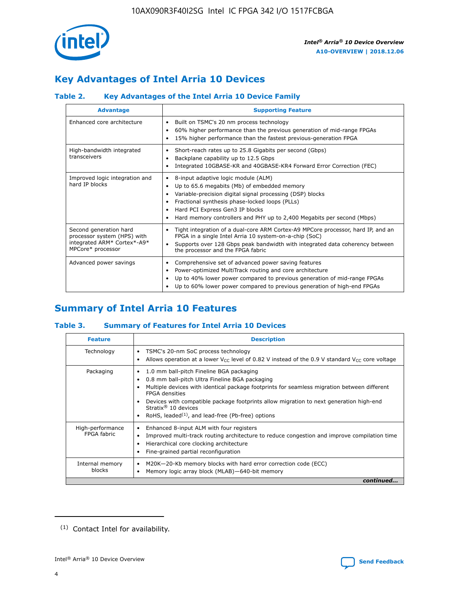

# **Key Advantages of Intel Arria 10 Devices**

## **Table 2. Key Advantages of the Intel Arria 10 Device Family**

| <b>Advantage</b>                                                                                          | <b>Supporting Feature</b>                                                                                                                                                                                                                                                                                                |
|-----------------------------------------------------------------------------------------------------------|--------------------------------------------------------------------------------------------------------------------------------------------------------------------------------------------------------------------------------------------------------------------------------------------------------------------------|
| Enhanced core architecture                                                                                | Built on TSMC's 20 nm process technology<br>٠<br>60% higher performance than the previous generation of mid-range FPGAs<br>٠<br>15% higher performance than the fastest previous-generation FPGA<br>٠                                                                                                                    |
| High-bandwidth integrated<br>transceivers                                                                 | Short-reach rates up to 25.8 Gigabits per second (Gbps)<br>٠<br>Backplane capability up to 12.5 Gbps<br>٠<br>Integrated 10GBASE-KR and 40GBASE-KR4 Forward Error Correction (FEC)<br>٠                                                                                                                                   |
| Improved logic integration and<br>hard IP blocks                                                          | 8-input adaptive logic module (ALM)<br>٠<br>Up to 65.6 megabits (Mb) of embedded memory<br>٠<br>Variable-precision digital signal processing (DSP) blocks<br>Fractional synthesis phase-locked loops (PLLs)<br>Hard PCI Express Gen3 IP blocks<br>Hard memory controllers and PHY up to 2,400 Megabits per second (Mbps) |
| Second generation hard<br>processor system (HPS) with<br>integrated ARM* Cortex*-A9*<br>MPCore* processor | Tight integration of a dual-core ARM Cortex-A9 MPCore processor, hard IP, and an<br>٠<br>FPGA in a single Intel Arria 10 system-on-a-chip (SoC)<br>Supports over 128 Gbps peak bandwidth with integrated data coherency between<br>$\bullet$<br>the processor and the FPGA fabric                                        |
| Advanced power savings                                                                                    | Comprehensive set of advanced power saving features<br>٠<br>Power-optimized MultiTrack routing and core architecture<br>٠<br>Up to 40% lower power compared to previous generation of mid-range FPGAs<br>Up to 60% lower power compared to previous generation of high-end FPGAs                                         |

# **Summary of Intel Arria 10 Features**

## **Table 3. Summary of Features for Intel Arria 10 Devices**

| <b>Feature</b>                  | <b>Description</b>                                                                                                                                                                                                                                                                                                                                                                                 |
|---------------------------------|----------------------------------------------------------------------------------------------------------------------------------------------------------------------------------------------------------------------------------------------------------------------------------------------------------------------------------------------------------------------------------------------------|
| Technology                      | TSMC's 20-nm SoC process technology<br>Allows operation at a lower $V_{\text{CC}}$ level of 0.82 V instead of the 0.9 V standard $V_{\text{CC}}$ core voltage                                                                                                                                                                                                                                      |
| Packaging                       | 1.0 mm ball-pitch Fineline BGA packaging<br>٠<br>0.8 mm ball-pitch Ultra Fineline BGA packaging<br>Multiple devices with identical package footprints for seamless migration between different<br><b>FPGA</b> densities<br>Devices with compatible package footprints allow migration to next generation high-end<br>Stratix $@10$ devices<br>RoHS, leaded $(1)$ , and lead-free (Pb-free) options |
| High-performance<br>FPGA fabric | Enhanced 8-input ALM with four registers<br>Improved multi-track routing architecture to reduce congestion and improve compilation time<br>Hierarchical core clocking architecture<br>Fine-grained partial reconfiguration                                                                                                                                                                         |
| Internal memory<br>blocks       | M20K-20-Kb memory blocks with hard error correction code (ECC)<br>Memory logic array block (MLAB)-640-bit memory                                                                                                                                                                                                                                                                                   |
|                                 | continued                                                                                                                                                                                                                                                                                                                                                                                          |



<sup>(1)</sup> Contact Intel for availability.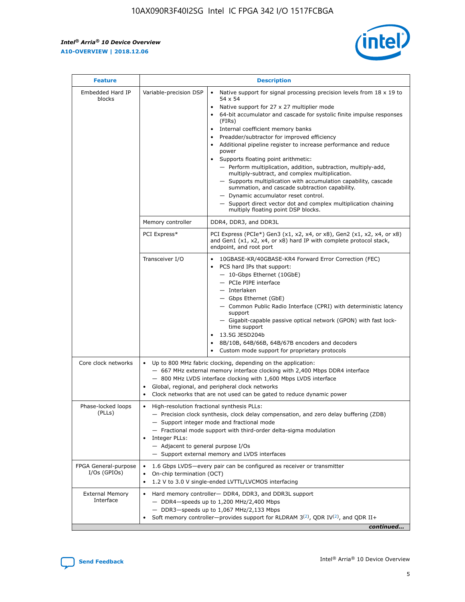r



| <b>Feature</b>                         | <b>Description</b>                                                                                             |                                                                                                                                                                                                                                                                                                                                                                                                                                                                                                                                                                                                                                                                                                                                                                                                                                        |  |  |  |  |  |
|----------------------------------------|----------------------------------------------------------------------------------------------------------------|----------------------------------------------------------------------------------------------------------------------------------------------------------------------------------------------------------------------------------------------------------------------------------------------------------------------------------------------------------------------------------------------------------------------------------------------------------------------------------------------------------------------------------------------------------------------------------------------------------------------------------------------------------------------------------------------------------------------------------------------------------------------------------------------------------------------------------------|--|--|--|--|--|
| Embedded Hard IP<br>blocks             | Variable-precision DSP                                                                                         | Native support for signal processing precision levels from $18 \times 19$ to<br>54 x 54<br>Native support for 27 x 27 multiplier mode<br>64-bit accumulator and cascade for systolic finite impulse responses<br>(FIRs)<br>Internal coefficient memory banks<br>$\bullet$<br>Preadder/subtractor for improved efficiency<br>Additional pipeline register to increase performance and reduce<br>power<br>Supports floating point arithmetic:<br>- Perform multiplication, addition, subtraction, multiply-add,<br>multiply-subtract, and complex multiplication.<br>- Supports multiplication with accumulation capability, cascade<br>summation, and cascade subtraction capability.<br>- Dynamic accumulator reset control.<br>- Support direct vector dot and complex multiplication chaining<br>multiply floating point DSP blocks. |  |  |  |  |  |
|                                        | Memory controller                                                                                              | DDR4, DDR3, and DDR3L                                                                                                                                                                                                                                                                                                                                                                                                                                                                                                                                                                                                                                                                                                                                                                                                                  |  |  |  |  |  |
|                                        | PCI Express*                                                                                                   | PCI Express (PCIe*) Gen3 (x1, x2, x4, or x8), Gen2 (x1, x2, x4, or x8)<br>and Gen1 (x1, x2, x4, or x8) hard IP with complete protocol stack,<br>endpoint, and root port                                                                                                                                                                                                                                                                                                                                                                                                                                                                                                                                                                                                                                                                |  |  |  |  |  |
|                                        | Transceiver I/O                                                                                                | 10GBASE-KR/40GBASE-KR4 Forward Error Correction (FEC)<br>PCS hard IPs that support:<br>$\bullet$<br>- 10-Gbps Ethernet (10GbE)<br>- PCIe PIPE interface<br>$-$ Interlaken<br>- Gbps Ethernet (GbE)<br>- Common Public Radio Interface (CPRI) with deterministic latency<br>support<br>- Gigabit-capable passive optical network (GPON) with fast lock-<br>time support<br>13.5G JESD204b<br>$\bullet$<br>8B/10B, 64B/66B, 64B/67B encoders and decoders<br>Custom mode support for proprietary protocols                                                                                                                                                                                                                                                                                                                               |  |  |  |  |  |
| Core clock networks                    | $\bullet$<br>$\bullet$                                                                                         | Up to 800 MHz fabric clocking, depending on the application:<br>- 667 MHz external memory interface clocking with 2,400 Mbps DDR4 interface<br>- 800 MHz LVDS interface clocking with 1,600 Mbps LVDS interface<br>Global, regional, and peripheral clock networks<br>Clock networks that are not used can be gated to reduce dynamic power                                                                                                                                                                                                                                                                                                                                                                                                                                                                                            |  |  |  |  |  |
| Phase-locked loops<br>(PLLs)           | High-resolution fractional synthesis PLLs:<br>$\bullet$<br>Integer PLLs:<br>- Adjacent to general purpose I/Os | - Precision clock synthesis, clock delay compensation, and zero delay buffering (ZDB)<br>- Support integer mode and fractional mode<br>- Fractional mode support with third-order delta-sigma modulation<br>- Support external memory and LVDS interfaces                                                                                                                                                                                                                                                                                                                                                                                                                                                                                                                                                                              |  |  |  |  |  |
| FPGA General-purpose<br>$I/Os$ (GPIOs) | On-chip termination (OCT)                                                                                      | 1.6 Gbps LVDS-every pair can be configured as receiver or transmitter<br>1.2 V to 3.0 V single-ended LVTTL/LVCMOS interfacing                                                                                                                                                                                                                                                                                                                                                                                                                                                                                                                                                                                                                                                                                                          |  |  |  |  |  |
| <b>External Memory</b><br>Interface    |                                                                                                                | Hard memory controller- DDR4, DDR3, and DDR3L support<br>$-$ DDR4 $-$ speeds up to 1,200 MHz/2,400 Mbps<br>- DDR3-speeds up to 1,067 MHz/2,133 Mbps<br>Soft memory controller—provides support for RLDRAM $3^{(2)}$ , QDR IV $^{(2)}$ , and QDR II+<br>continued                                                                                                                                                                                                                                                                                                                                                                                                                                                                                                                                                                       |  |  |  |  |  |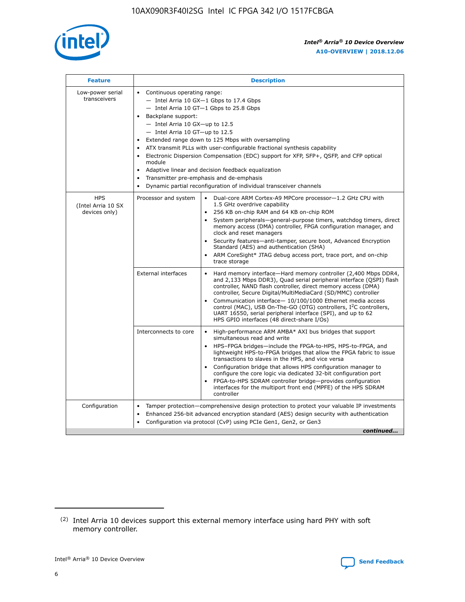

| <b>Feature</b>                                    | <b>Description</b>                                                                                                                                                                                                                                                                                                                                                                                                                                                                                                                                                                                                                                      |  |  |  |  |  |  |  |  |
|---------------------------------------------------|---------------------------------------------------------------------------------------------------------------------------------------------------------------------------------------------------------------------------------------------------------------------------------------------------------------------------------------------------------------------------------------------------------------------------------------------------------------------------------------------------------------------------------------------------------------------------------------------------------------------------------------------------------|--|--|--|--|--|--|--|--|
| Low-power serial<br>transceivers                  | • Continuous operating range:<br>- Intel Arria 10 GX-1 Gbps to 17.4 Gbps<br>- Intel Arria 10 GT-1 Gbps to 25.8 Gbps<br>Backplane support:<br>$-$ Intel Arria 10 GX-up to 12.5<br>- Intel Arria 10 GT-up to 12.5<br>Extended range down to 125 Mbps with oversampling<br>ATX transmit PLLs with user-configurable fractional synthesis capability<br>• Electronic Dispersion Compensation (EDC) support for XFP, SFP+, QSFP, and CFP optical<br>module<br>Adaptive linear and decision feedback equalization<br>$\bullet$<br>Transmitter pre-emphasis and de-emphasis<br>$\bullet$<br>Dynamic partial reconfiguration of individual transceiver channels |  |  |  |  |  |  |  |  |
| <b>HPS</b><br>(Intel Arria 10 SX<br>devices only) | Processor and system<br>Dual-core ARM Cortex-A9 MPCore processor-1.2 GHz CPU with<br>$\bullet$<br>1.5 GHz overdrive capability<br>• 256 KB on-chip RAM and 64 KB on-chip ROM<br>System peripherals-general-purpose timers, watchdog timers, direct<br>memory access (DMA) controller, FPGA configuration manager, and<br>clock and reset managers<br>• Security features—anti-tamper, secure boot, Advanced Encryption<br>Standard (AES) and authentication (SHA)<br>ARM CoreSight* JTAG debug access port, trace port, and on-chip<br>trace storage                                                                                                    |  |  |  |  |  |  |  |  |
|                                                   | <b>External interfaces</b><br>Hard memory interface—Hard memory controller (2,400 Mbps DDR4,<br>$\bullet$<br>and 2,133 Mbps DDR3), Quad serial peripheral interface (QSPI) flash<br>controller, NAND flash controller, direct memory access (DMA)<br>controller, Secure Digital/MultiMediaCard (SD/MMC) controller<br>Communication interface-10/100/1000 Ethernet media access<br>control (MAC), USB On-The-GO (OTG) controllers, I <sup>2</sup> C controllers,<br>UART 16550, serial peripheral interface (SPI), and up to 62<br>HPS GPIO interfaces (48 direct-share I/Os)                                                                           |  |  |  |  |  |  |  |  |
|                                                   | High-performance ARM AMBA* AXI bus bridges that support<br>Interconnects to core<br>$\bullet$<br>simultaneous read and write<br>HPS-FPGA bridges—include the FPGA-to-HPS, HPS-to-FPGA, and<br>lightweight HPS-to-FPGA bridges that allow the FPGA fabric to issue<br>transactions to slaves in the HPS, and vice versa<br>Configuration bridge that allows HPS configuration manager to<br>configure the core logic via dedicated 32-bit configuration port<br>FPGA-to-HPS SDRAM controller bridge-provides configuration<br>interfaces for the multiport front end (MPFE) of the HPS SDRAM<br>controller                                               |  |  |  |  |  |  |  |  |
| Configuration                                     | Tamper protection—comprehensive design protection to protect your valuable IP investments<br>Enhanced 256-bit advanced encryption standard (AES) design security with authentication<br>٠<br>Configuration via protocol (CvP) using PCIe Gen1, Gen2, or Gen3<br>continued                                                                                                                                                                                                                                                                                                                                                                               |  |  |  |  |  |  |  |  |

<sup>(2)</sup> Intel Arria 10 devices support this external memory interface using hard PHY with soft memory controller.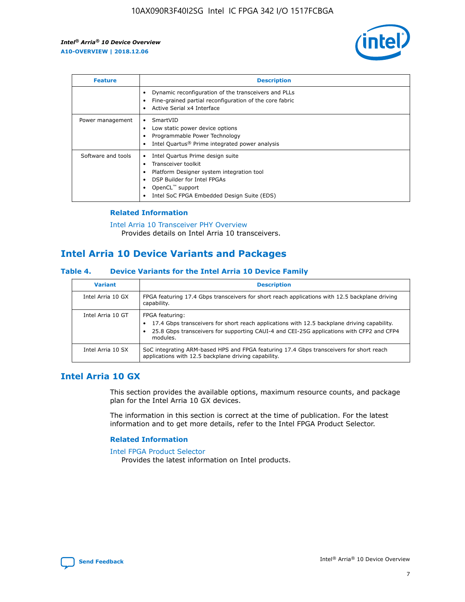

| <b>Feature</b>     | <b>Description</b>                                                                                                                                                                                                            |
|--------------------|-------------------------------------------------------------------------------------------------------------------------------------------------------------------------------------------------------------------------------|
|                    | Dynamic reconfiguration of the transceivers and PLLs<br>Fine-grained partial reconfiguration of the core fabric<br>Active Serial x4 Interface<br>$\bullet$                                                                    |
| Power management   | SmartVID<br>Low static power device options<br>Programmable Power Technology<br>Intel Quartus <sup>®</sup> Prime integrated power analysis                                                                                    |
| Software and tools | Intel Quartus Prime design suite<br>Transceiver toolkit<br>$\bullet$<br>Platform Designer system integration tool<br>DSP Builder for Intel FPGAs<br>OpenCL <sup>™</sup> support<br>Intel SoC FPGA Embedded Design Suite (EDS) |

## **Related Information**

[Intel Arria 10 Transceiver PHY Overview](https://www.intel.com/content/www/us/en/programmable/documentation/nik1398707230472.html#nik1398706768037) Provides details on Intel Arria 10 transceivers.

## **Intel Arria 10 Device Variants and Packages**

#### **Table 4. Device Variants for the Intel Arria 10 Device Family**

| <b>Variant</b>    | <b>Description</b>                                                                                                                                                                                                     |
|-------------------|------------------------------------------------------------------------------------------------------------------------------------------------------------------------------------------------------------------------|
| Intel Arria 10 GX | FPGA featuring 17.4 Gbps transceivers for short reach applications with 12.5 backplane driving<br>capability.                                                                                                          |
| Intel Arria 10 GT | FPGA featuring:<br>17.4 Gbps transceivers for short reach applications with 12.5 backplane driving capability.<br>25.8 Gbps transceivers for supporting CAUI-4 and CEI-25G applications with CFP2 and CFP4<br>modules. |
| Intel Arria 10 SX | SoC integrating ARM-based HPS and FPGA featuring 17.4 Gbps transceivers for short reach<br>applications with 12.5 backplane driving capability.                                                                        |

## **Intel Arria 10 GX**

This section provides the available options, maximum resource counts, and package plan for the Intel Arria 10 GX devices.

The information in this section is correct at the time of publication. For the latest information and to get more details, refer to the Intel FPGA Product Selector.

## **Related Information**

#### [Intel FPGA Product Selector](http://www.altera.com/products/selector/psg-selector.html) Provides the latest information on Intel products.

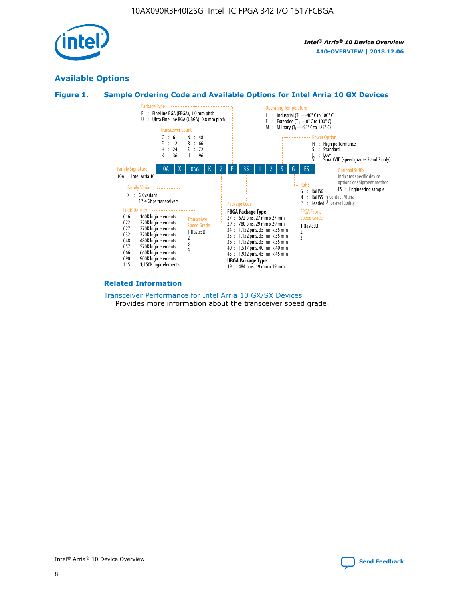

## **Available Options**





#### **Related Information**

[Transceiver Performance for Intel Arria 10 GX/SX Devices](https://www.intel.com/content/www/us/en/programmable/documentation/mcn1413182292568.html#mcn1413213965502) Provides more information about the transceiver speed grade.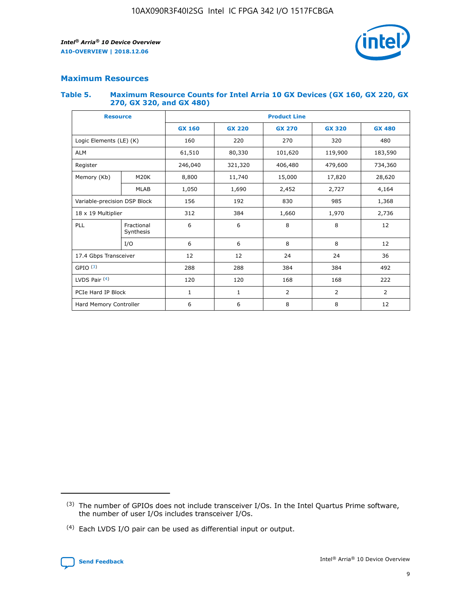

## **Maximum Resources**

#### **Table 5. Maximum Resource Counts for Intel Arria 10 GX Devices (GX 160, GX 220, GX 270, GX 320, and GX 480)**

| <b>Resource</b>              |                         | <b>Product Line</b> |                                                 |                    |                |                |  |  |  |
|------------------------------|-------------------------|---------------------|-------------------------------------------------|--------------------|----------------|----------------|--|--|--|
|                              |                         | <b>GX 160</b>       | <b>GX 220</b><br><b>GX 270</b><br><b>GX 320</b> |                    |                | <b>GX 480</b>  |  |  |  |
| Logic Elements (LE) (K)      |                         | 160                 | 220                                             | 270                | 320            | 480            |  |  |  |
| <b>ALM</b>                   |                         | 61,510              | 80,330                                          | 101,620            | 119,900        | 183,590        |  |  |  |
| Register                     |                         | 246,040             | 321,320                                         | 406,480<br>479,600 |                | 734,360        |  |  |  |
| Memory (Kb)                  | M <sub>20</sub> K       | 8,800               | 11,740                                          | 15,000             | 17,820         | 28,620         |  |  |  |
|                              | <b>MLAB</b>             | 1,050               | 1,690                                           | 2,452<br>2,727     |                | 4,164          |  |  |  |
| Variable-precision DSP Block |                         | 156                 | 985<br>192<br>830                               |                    | 1,368          |                |  |  |  |
| 18 x 19 Multiplier           |                         | 312                 | 384                                             | 1,660<br>1,970     |                | 2,736          |  |  |  |
| PLL                          | Fractional<br>Synthesis | 6                   | 6                                               | 8                  | 8              | 12             |  |  |  |
|                              | I/O                     | 6                   | 6                                               | 8                  | 8              | 12             |  |  |  |
| 17.4 Gbps Transceiver        |                         | 12                  | 12                                              | 24                 | 24             | 36             |  |  |  |
| GPIO <sup>(3)</sup>          |                         | 288                 | 288                                             | 384<br>384         |                | 492            |  |  |  |
| LVDS Pair $(4)$              |                         | 120                 | 120                                             | 168                | 168            | 222            |  |  |  |
| PCIe Hard IP Block           |                         | $\mathbf{1}$        | 1                                               | $\overline{2}$     | $\overline{2}$ | $\overline{2}$ |  |  |  |
| Hard Memory Controller       |                         | 6                   | 6                                               | 8                  | 8              | 12             |  |  |  |

<sup>(4)</sup> Each LVDS I/O pair can be used as differential input or output.



<sup>(3)</sup> The number of GPIOs does not include transceiver I/Os. In the Intel Quartus Prime software, the number of user I/Os includes transceiver I/Os.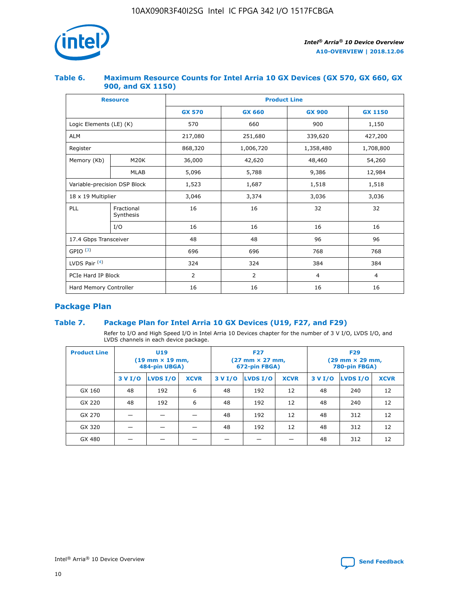

## **Table 6. Maximum Resource Counts for Intel Arria 10 GX Devices (GX 570, GX 660, GX 900, and GX 1150)**

|                              | <b>Resource</b>         | <b>Product Line</b> |                |                |                |  |  |  |
|------------------------------|-------------------------|---------------------|----------------|----------------|----------------|--|--|--|
|                              |                         | <b>GX 570</b>       | <b>GX 660</b>  | <b>GX 900</b>  | <b>GX 1150</b> |  |  |  |
| Logic Elements (LE) (K)      |                         | 570                 | 660            | 900            | 1,150          |  |  |  |
| <b>ALM</b>                   |                         | 217,080             | 251,680        | 339,620        | 427,200        |  |  |  |
| Register                     |                         | 868,320             | 1,006,720      |                | 1,708,800      |  |  |  |
| Memory (Kb)                  | <b>M20K</b>             | 36,000              | 42,620         | 48,460         | 54,260         |  |  |  |
|                              | <b>MLAB</b>             | 5,096               | 5,788<br>9,386 |                | 12,984         |  |  |  |
| Variable-precision DSP Block |                         | 1,523               | 1,687          | 1,518          | 1,518          |  |  |  |
| $18 \times 19$ Multiplier    |                         | 3,046               | 3,374          | 3,036          | 3,036          |  |  |  |
| PLL                          | Fractional<br>Synthesis | 16                  | 16             | 32             | 32             |  |  |  |
|                              | I/O                     | 16                  | 16             | 16             | 16             |  |  |  |
| 17.4 Gbps Transceiver        |                         | 48                  | 48<br>96       |                | 96             |  |  |  |
| GPIO <sup>(3)</sup>          |                         | 696                 | 696            | 768            | 768            |  |  |  |
| LVDS Pair $(4)$              |                         | 324                 | 324            | 384            | 384            |  |  |  |
| PCIe Hard IP Block           |                         | 2                   | $\overline{2}$ | $\overline{4}$ | 4              |  |  |  |
| Hard Memory Controller       |                         | 16                  | 16             | 16             | 16             |  |  |  |

## **Package Plan**

## **Table 7. Package Plan for Intel Arria 10 GX Devices (U19, F27, and F29)**

Refer to I/O and High Speed I/O in Intel Arria 10 Devices chapter for the number of 3 V I/O, LVDS I/O, and LVDS channels in each device package.

| <b>Product Line</b> | U <sub>19</sub><br>$(19 \text{ mm} \times 19 \text{ mm})$<br>484-pin UBGA) |          |             |         | <b>F27</b><br>(27 mm × 27 mm,<br>672-pin FBGA) |             | <b>F29</b><br>(29 mm × 29 mm,<br>780-pin FBGA) |          |             |  |
|---------------------|----------------------------------------------------------------------------|----------|-------------|---------|------------------------------------------------|-------------|------------------------------------------------|----------|-------------|--|
|                     | 3 V I/O                                                                    | LVDS I/O | <b>XCVR</b> | 3 V I/O | LVDS I/O                                       | <b>XCVR</b> | 3 V I/O                                        | LVDS I/O | <b>XCVR</b> |  |
| GX 160              | 48                                                                         | 192      | 6           | 48      | 192                                            | 12          | 48                                             | 240      | 12          |  |
| GX 220              | 48                                                                         | 192      | 6           | 48      | 192                                            | 12          | 48                                             | 240      | 12          |  |
| GX 270              |                                                                            |          |             | 48      | 192                                            | 12          | 48                                             | 312      | 12          |  |
| GX 320              |                                                                            |          |             | 48      | 192                                            | 12          | 48                                             | 312      | 12          |  |
| GX 480              |                                                                            |          |             |         |                                                |             | 48                                             | 312      | 12          |  |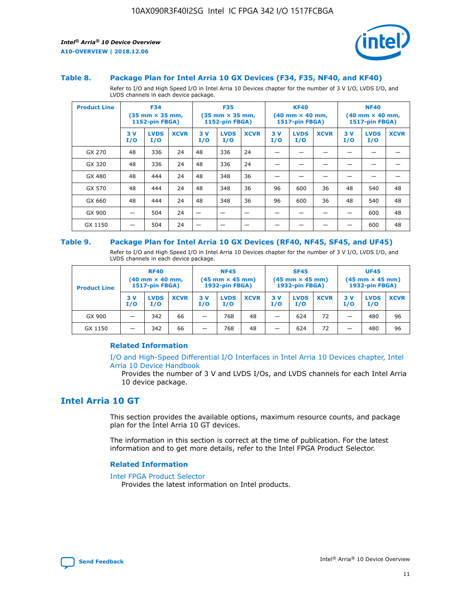

#### **Table 8. Package Plan for Intel Arria 10 GX Devices (F34, F35, NF40, and KF40)**

Refer to I/O and High Speed I/O in Intel Arria 10 Devices chapter for the number of 3 V I/O, LVDS I/O, and LVDS channels in each device package.

| <b>Product Line</b> | <b>F34</b><br>$(35 \text{ mm} \times 35 \text{ mm})$<br>1152-pin FBGA) |                    | <b>F35</b><br>$(35 \text{ mm} \times 35 \text{ mm})$<br><b>1152-pin FBGA)</b> |           | <b>KF40</b><br>$(40 \text{ mm} \times 40 \text{ mm})$<br>1517-pin FBGA) |             |            | <b>NF40</b><br>$(40 \text{ mm} \times 40 \text{ mm})$<br><b>1517-pin FBGA)</b> |             |            |                    |             |
|---------------------|------------------------------------------------------------------------|--------------------|-------------------------------------------------------------------------------|-----------|-------------------------------------------------------------------------|-------------|------------|--------------------------------------------------------------------------------|-------------|------------|--------------------|-------------|
|                     | 3V<br>I/O                                                              | <b>LVDS</b><br>I/O | <b>XCVR</b>                                                                   | 3V<br>I/O | <b>LVDS</b><br>I/O                                                      | <b>XCVR</b> | 3 V<br>I/O | <b>LVDS</b><br>I/O                                                             | <b>XCVR</b> | 3 V<br>I/O | <b>LVDS</b><br>I/O | <b>XCVR</b> |
| GX 270              | 48                                                                     | 336                | 24                                                                            | 48        | 336                                                                     | 24          |            |                                                                                |             |            |                    |             |
| GX 320              | 48                                                                     | 336                | 24                                                                            | 48        | 336                                                                     | 24          |            |                                                                                |             |            |                    |             |
| GX 480              | 48                                                                     | 444                | 24                                                                            | 48        | 348                                                                     | 36          |            |                                                                                |             |            |                    |             |
| GX 570              | 48                                                                     | 444                | 24                                                                            | 48        | 348                                                                     | 36          | 96         | 600                                                                            | 36          | 48         | 540                | 48          |
| GX 660              | 48                                                                     | 444                | 24                                                                            | 48        | 348                                                                     | 36          | 96         | 600                                                                            | 36          | 48         | 540                | 48          |
| GX 900              |                                                                        | 504                | 24                                                                            | -         |                                                                         |             |            |                                                                                |             |            | 600                | 48          |
| GX 1150             |                                                                        | 504                | 24                                                                            |           |                                                                         |             |            |                                                                                |             |            | 600                | 48          |

#### **Table 9. Package Plan for Intel Arria 10 GX Devices (RF40, NF45, SF45, and UF45)**

Refer to I/O and High Speed I/O in Intel Arria 10 Devices chapter for the number of 3 V I/O, LVDS I/O, and LVDS channels in each device package.

| <b>Product Line</b> | <b>RF40</b><br>$(40 \text{ mm} \times 40 \text{ mm})$<br>1517-pin FBGA) |                    | <b>NF45</b><br>$(45 \text{ mm} \times 45 \text{ mm})$<br><b>1932-pin FBGA)</b> |            |                    | <b>SF45</b><br>$(45 \text{ mm} \times 45 \text{ mm})$<br><b>1932-pin FBGA)</b> |            |                    | <b>UF45</b><br>$(45 \text{ mm} \times 45 \text{ mm})$<br>1932-pin FBGA) |           |                    |             |
|---------------------|-------------------------------------------------------------------------|--------------------|--------------------------------------------------------------------------------|------------|--------------------|--------------------------------------------------------------------------------|------------|--------------------|-------------------------------------------------------------------------|-----------|--------------------|-------------|
|                     | 3V<br>I/O                                                               | <b>LVDS</b><br>I/O | <b>XCVR</b>                                                                    | 3 V<br>I/O | <b>LVDS</b><br>I/O | <b>XCVR</b>                                                                    | 3 V<br>I/O | <b>LVDS</b><br>I/O | <b>XCVR</b>                                                             | 3V<br>I/O | <b>LVDS</b><br>I/O | <b>XCVR</b> |
| GX 900              |                                                                         | 342                | 66                                                                             | _          | 768                | 48                                                                             |            | 624                | 72                                                                      |           | 480                | 96          |
| GX 1150             |                                                                         | 342                | 66                                                                             | -          | 768                | 48                                                                             |            | 624                | 72                                                                      |           | 480                | 96          |

## **Related Information**

[I/O and High-Speed Differential I/O Interfaces in Intel Arria 10 Devices chapter, Intel](https://www.intel.com/content/www/us/en/programmable/documentation/sam1403482614086.html#sam1403482030321) [Arria 10 Device Handbook](https://www.intel.com/content/www/us/en/programmable/documentation/sam1403482614086.html#sam1403482030321)

Provides the number of 3 V and LVDS I/Os, and LVDS channels for each Intel Arria 10 device package.

## **Intel Arria 10 GT**

This section provides the available options, maximum resource counts, and package plan for the Intel Arria 10 GT devices.

The information in this section is correct at the time of publication. For the latest information and to get more details, refer to the Intel FPGA Product Selector.

#### **Related Information**

#### [Intel FPGA Product Selector](http://www.altera.com/products/selector/psg-selector.html)

Provides the latest information on Intel products.

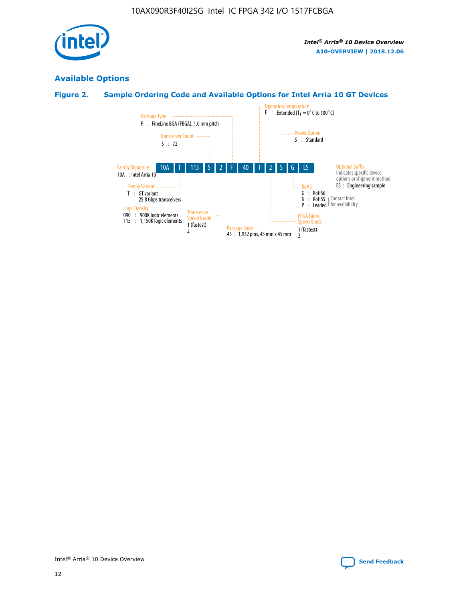

# **Available Options**

## **Figure 2. Sample Ordering Code and Available Options for Intel Arria 10 GT Devices**

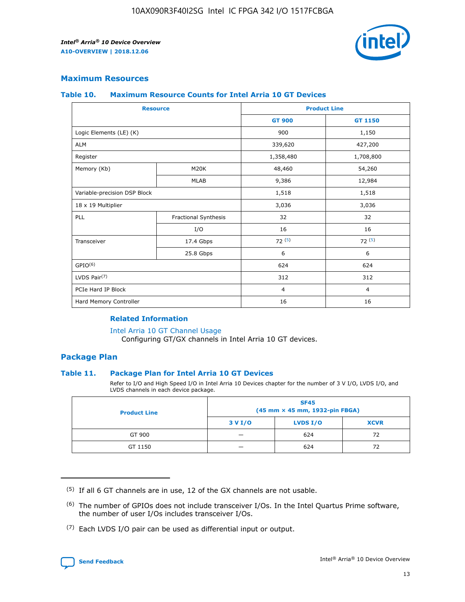

## **Maximum Resources**

#### **Table 10. Maximum Resource Counts for Intel Arria 10 GT Devices**

|                              | <b>Resource</b>      | <b>Product Line</b> |                |  |
|------------------------------|----------------------|---------------------|----------------|--|
|                              |                      | <b>GT 900</b>       | GT 1150        |  |
| Logic Elements (LE) (K)      |                      | 900                 | 1,150          |  |
| <b>ALM</b>                   |                      | 339,620             | 427,200        |  |
| Register                     |                      | 1,358,480           | 1,708,800      |  |
| Memory (Kb)                  | M20K                 | 48,460              | 54,260         |  |
|                              | <b>MLAB</b>          | 9,386               | 12,984         |  |
| Variable-precision DSP Block |                      | 1,518               | 1,518          |  |
| 18 x 19 Multiplier           |                      | 3,036               | 3,036          |  |
| PLL                          | Fractional Synthesis | 32                  | 32             |  |
|                              | I/O                  | 16                  | 16             |  |
| Transceiver                  | 17.4 Gbps            | 72(5)               | 72(5)          |  |
|                              | 25.8 Gbps            | 6                   | 6              |  |
| GPIO <sup>(6)</sup>          |                      | 624                 | 624            |  |
| LVDS Pair $(7)$              |                      | 312                 | 312            |  |
| PCIe Hard IP Block           |                      | $\overline{4}$      | $\overline{4}$ |  |
| Hard Memory Controller       |                      | 16                  | 16             |  |

## **Related Information**

#### [Intel Arria 10 GT Channel Usage](https://www.intel.com/content/www/us/en/programmable/documentation/nik1398707230472.html#nik1398707008178)

Configuring GT/GX channels in Intel Arria 10 GT devices.

## **Package Plan**

## **Table 11. Package Plan for Intel Arria 10 GT Devices**

Refer to I/O and High Speed I/O in Intel Arria 10 Devices chapter for the number of 3 V I/O, LVDS I/O, and LVDS channels in each device package.

| <b>Product Line</b> | <b>SF45</b><br>(45 mm × 45 mm, 1932-pin FBGA) |                 |             |  |  |  |
|---------------------|-----------------------------------------------|-----------------|-------------|--|--|--|
|                     | 3 V I/O                                       | <b>LVDS I/O</b> | <b>XCVR</b> |  |  |  |
| GT 900              |                                               | 624             | 72          |  |  |  |
| GT 1150             |                                               | 624             | 72          |  |  |  |

<sup>(7)</sup> Each LVDS I/O pair can be used as differential input or output.



 $(5)$  If all 6 GT channels are in use, 12 of the GX channels are not usable.

<sup>(6)</sup> The number of GPIOs does not include transceiver I/Os. In the Intel Quartus Prime software, the number of user I/Os includes transceiver I/Os.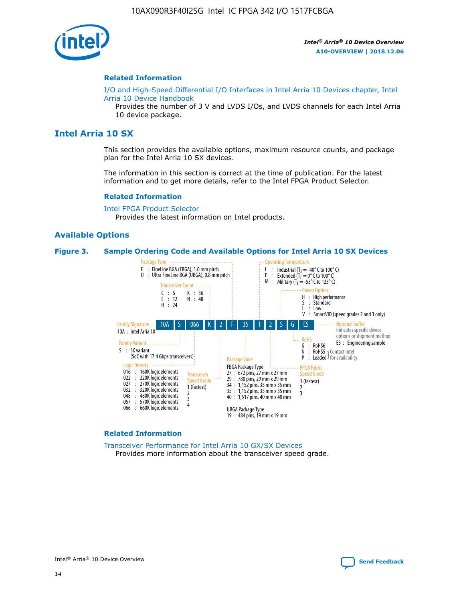

#### **Related Information**

[I/O and High-Speed Differential I/O Interfaces in Intel Arria 10 Devices chapter, Intel](https://www.intel.com/content/www/us/en/programmable/documentation/sam1403482614086.html#sam1403482030321) [Arria 10 Device Handbook](https://www.intel.com/content/www/us/en/programmable/documentation/sam1403482614086.html#sam1403482030321)

Provides the number of 3 V and LVDS I/Os, and LVDS channels for each Intel Arria 10 device package.

## **Intel Arria 10 SX**

This section provides the available options, maximum resource counts, and package plan for the Intel Arria 10 SX devices.

The information in this section is correct at the time of publication. For the latest information and to get more details, refer to the Intel FPGA Product Selector.

#### **Related Information**

[Intel FPGA Product Selector](http://www.altera.com/products/selector/psg-selector.html) Provides the latest information on Intel products.

## **Available Options**

#### **Figure 3. Sample Ordering Code and Available Options for Intel Arria 10 SX Devices**



#### **Related Information**

[Transceiver Performance for Intel Arria 10 GX/SX Devices](https://www.intel.com/content/www/us/en/programmable/documentation/mcn1413182292568.html#mcn1413213965502) Provides more information about the transceiver speed grade.

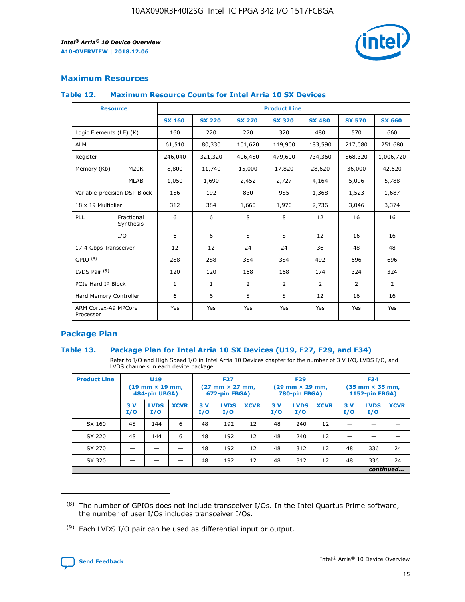

## **Maximum Resources**

## **Table 12. Maximum Resource Counts for Intel Arria 10 SX Devices**

| <b>Resource</b>                   |                         | <b>Product Line</b> |               |                |                |                |                |                |  |  |  |
|-----------------------------------|-------------------------|---------------------|---------------|----------------|----------------|----------------|----------------|----------------|--|--|--|
|                                   |                         | <b>SX 160</b>       | <b>SX 220</b> | <b>SX 270</b>  | <b>SX 320</b>  | <b>SX 480</b>  | <b>SX 570</b>  | <b>SX 660</b>  |  |  |  |
| Logic Elements (LE) (K)           |                         | 160                 | 220           | 270            | 320            | 480            | 570            | 660            |  |  |  |
| <b>ALM</b>                        |                         | 61,510              | 80,330        | 101,620        | 119,900        | 183,590        | 217,080        | 251,680        |  |  |  |
| Register                          |                         | 246,040             | 321,320       | 406,480        | 479,600        | 734,360        | 868,320        | 1,006,720      |  |  |  |
| Memory (Kb)                       | <b>M20K</b>             | 8,800               | 11,740        | 15,000         | 17,820         | 28,620         | 36,000         | 42,620         |  |  |  |
|                                   | <b>MLAB</b>             | 1,050               | 1,690         | 2,452          | 2,727          | 4,164          | 5,096          | 5,788          |  |  |  |
| Variable-precision DSP Block      |                         | 156                 | 192           | 830            | 985            | 1,368          | 1,523          | 1,687          |  |  |  |
| 18 x 19 Multiplier                |                         | 312                 | 384           | 1,660          | 1,970          | 2,736          | 3,046          | 3,374          |  |  |  |
| PLL                               | Fractional<br>Synthesis | 6                   | 6             | 8              | 8              | 12             | 16             | 16             |  |  |  |
|                                   | I/O                     | 6                   | 6             | 8              | 8              | 12             | 16             | 16             |  |  |  |
| 17.4 Gbps Transceiver             |                         | 12                  | 12            | 24             | 24             | 36             | 48             | 48             |  |  |  |
| GPIO <sup>(8)</sup>               |                         | 288                 | 288           | 384            | 384            | 492            | 696            | 696            |  |  |  |
| LVDS Pair $(9)$                   |                         | 120                 | 120           | 168            | 168            | 174            | 324            | 324            |  |  |  |
| PCIe Hard IP Block                |                         | $\mathbf{1}$        | $\mathbf{1}$  | $\overline{2}$ | $\overline{2}$ | $\overline{2}$ | $\overline{2}$ | $\overline{2}$ |  |  |  |
| Hard Memory Controller            |                         | 6                   | 6             | 8              | 8              | 12             | 16             | 16             |  |  |  |
| ARM Cortex-A9 MPCore<br>Processor |                         | Yes                 | Yes           | Yes            | Yes            | Yes            | Yes            | <b>Yes</b>     |  |  |  |

## **Package Plan**

## **Table 13. Package Plan for Intel Arria 10 SX Devices (U19, F27, F29, and F34)**

Refer to I/O and High Speed I/O in Intel Arria 10 Devices chapter for the number of 3 V I/O, LVDS I/O, and LVDS channels in each device package.

| <b>Product Line</b> | U19<br>$(19 \text{ mm} \times 19 \text{ mm})$<br>484-pin UBGA) |                    |             | <b>F27</b><br>$(27 \text{ mm} \times 27 \text{ mm})$ .<br>672-pin FBGA) |                    | <b>F29</b><br>$(29 \text{ mm} \times 29 \text{ mm})$ .<br>780-pin FBGA) |            |                    | <b>F34</b><br>$(35 \text{ mm} \times 35 \text{ mm})$<br><b>1152-pin FBGA)</b> |           |                    |             |
|---------------------|----------------------------------------------------------------|--------------------|-------------|-------------------------------------------------------------------------|--------------------|-------------------------------------------------------------------------|------------|--------------------|-------------------------------------------------------------------------------|-----------|--------------------|-------------|
|                     | 3V<br>I/O                                                      | <b>LVDS</b><br>I/O | <b>XCVR</b> | 3V<br>I/O                                                               | <b>LVDS</b><br>I/O | <b>XCVR</b>                                                             | 3 V<br>I/O | <b>LVDS</b><br>I/O | <b>XCVR</b>                                                                   | 3V<br>I/O | <b>LVDS</b><br>I/O | <b>XCVR</b> |
| SX 160              | 48                                                             | 144                | 6           | 48                                                                      | 192                | 12                                                                      | 48         | 240                | 12                                                                            |           |                    |             |
| SX 220              | 48                                                             | 144                | 6           | 48                                                                      | 192                | 12                                                                      | 48         | 240                | 12                                                                            |           |                    |             |
| SX 270              |                                                                |                    |             | 48                                                                      | 192                | 12                                                                      | 48         | 312                | 12                                                                            | 48        | 336                | 24          |
| SX 320              |                                                                |                    |             | 48                                                                      | 192                | 12                                                                      | 48         | 312                | 12                                                                            | 48        | 336                | 24          |
|                     |                                                                |                    |             |                                                                         |                    |                                                                         |            |                    |                                                                               |           |                    | continued   |

 $(8)$  The number of GPIOs does not include transceiver I/Os. In the Intel Quartus Prime software, the number of user I/Os includes transceiver I/Os.

 $(9)$  Each LVDS I/O pair can be used as differential input or output.

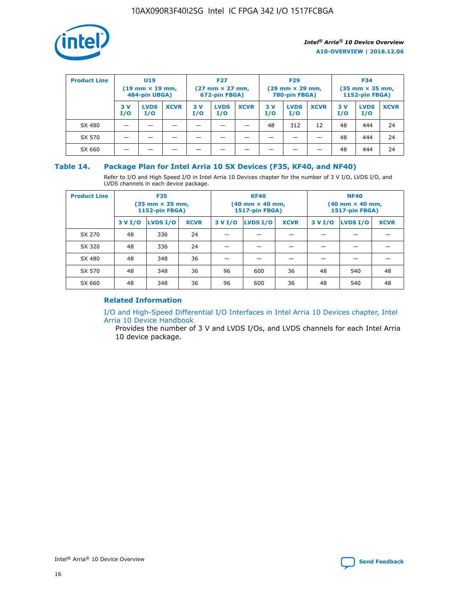

| <b>Product Line</b> | U <sub>19</sub><br>$(19$ mm $\times$ 19 mm,<br>484-pin UBGA) |                    | <b>F27</b><br>$(27 \text{ mm} \times 27 \text{ mm})$<br>672-pin FBGA) |           |                    | <b>F29</b><br>$(29 \text{ mm} \times 29 \text{ mm})$<br>780-pin FBGA) |           |                    | <b>F34</b><br>$(35$ mm $\times$ 35 mm,<br>1152-pin FBGA) |           |                    |             |
|---------------------|--------------------------------------------------------------|--------------------|-----------------------------------------------------------------------|-----------|--------------------|-----------------------------------------------------------------------|-----------|--------------------|----------------------------------------------------------|-----------|--------------------|-------------|
|                     | 3 V<br>I/O                                                   | <b>LVDS</b><br>I/O | <b>XCVR</b>                                                           | 3V<br>I/O | <b>LVDS</b><br>I/O | <b>XCVR</b>                                                           | 3V<br>I/O | <b>LVDS</b><br>I/O | <b>XCVR</b>                                              | 3V<br>I/O | <b>LVDS</b><br>I/O | <b>XCVR</b> |
| SX 480              |                                                              |                    |                                                                       |           |                    |                                                                       | 48        | 312                | 12                                                       | 48        | 444                | 24          |
| SX 570              |                                                              |                    |                                                                       |           |                    |                                                                       |           |                    |                                                          | 48        | 444                | 24          |
| SX 660              |                                                              |                    |                                                                       |           |                    |                                                                       |           |                    |                                                          | 48        | 444                | 24          |

## **Table 14. Package Plan for Intel Arria 10 SX Devices (F35, KF40, and NF40)**

Refer to I/O and High Speed I/O in Intel Arria 10 Devices chapter for the number of 3 V I/O, LVDS I/O, and LVDS channels in each device package.

| <b>Product Line</b> | <b>F35</b><br>$(35 \text{ mm} \times 35 \text{ mm})$<br><b>1152-pin FBGA)</b> |          |             |                                           | <b>KF40</b><br>(40 mm × 40 mm,<br>1517-pin FBGA) |    | <b>NF40</b><br>$(40 \text{ mm} \times 40 \text{ mm})$<br>1517-pin FBGA) |          |             |  |
|---------------------|-------------------------------------------------------------------------------|----------|-------------|-------------------------------------------|--------------------------------------------------|----|-------------------------------------------------------------------------|----------|-------------|--|
|                     | 3 V I/O                                                                       | LVDS I/O | <b>XCVR</b> | <b>LVDS I/O</b><br><b>XCVR</b><br>3 V I/O |                                                  |    | 3 V I/O                                                                 | LVDS I/O | <b>XCVR</b> |  |
| SX 270              | 48                                                                            | 336      | 24          |                                           |                                                  |    |                                                                         |          |             |  |
| SX 320              | 48                                                                            | 336      | 24          |                                           |                                                  |    |                                                                         |          |             |  |
| SX 480              | 48                                                                            | 348      | 36          |                                           |                                                  |    |                                                                         |          |             |  |
| SX 570              | 48                                                                            | 348      | 36          | 96                                        | 600                                              | 36 | 48                                                                      | 540      | 48          |  |
| SX 660              | 48                                                                            | 348      | 36          | 96                                        | 600                                              | 36 | 48                                                                      | 540      | 48          |  |

## **Related Information**

[I/O and High-Speed Differential I/O Interfaces in Intel Arria 10 Devices chapter, Intel](https://www.intel.com/content/www/us/en/programmable/documentation/sam1403482614086.html#sam1403482030321) [Arria 10 Device Handbook](https://www.intel.com/content/www/us/en/programmable/documentation/sam1403482614086.html#sam1403482030321)

Provides the number of 3 V and LVDS I/Os, and LVDS channels for each Intel Arria 10 device package.

Intel<sup>®</sup> Arria<sup>®</sup> 10 Device Overview **[Send Feedback](mailto:FPGAtechdocfeedback@intel.com?subject=Feedback%20on%20Intel%20Arria%2010%20Device%20Overview%20(A10-OVERVIEW%202018.12.06)&body=We%20appreciate%20your%20feedback.%20In%20your%20comments,%20also%20specify%20the%20page%20number%20or%20paragraph.%20Thank%20you.)** Send Feedback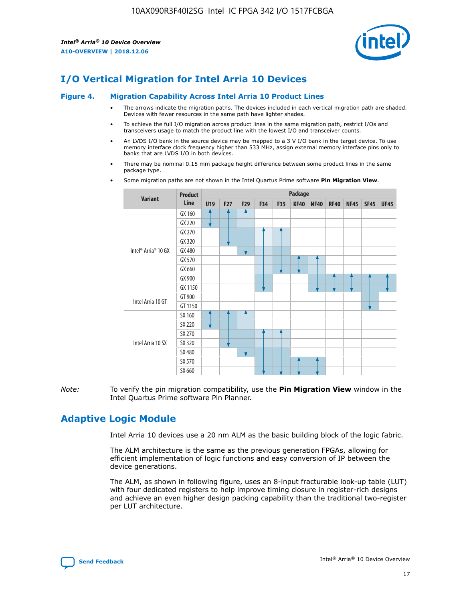

# **I/O Vertical Migration for Intel Arria 10 Devices**

#### **Figure 4. Migration Capability Across Intel Arria 10 Product Lines**

- The arrows indicate the migration paths. The devices included in each vertical migration path are shaded. Devices with fewer resources in the same path have lighter shades.
- To achieve the full I/O migration across product lines in the same migration path, restrict I/Os and transceivers usage to match the product line with the lowest I/O and transceiver counts.
- An LVDS I/O bank in the source device may be mapped to a 3 V I/O bank in the target device. To use memory interface clock frequency higher than 533 MHz, assign external memory interface pins only to banks that are LVDS I/O in both devices.
- There may be nominal 0.15 mm package height difference between some product lines in the same package type.
	- **Variant Product Line Package U19 F27 F29 F34 F35 KF40 NF40 RF40 NF45 SF45 UF45** Intel® Arria® 10 GX GX 160 GX 220 GX 270 GX 320 GX 480 GX 570 GX 660 GX 900 GX 1150 Intel Arria 10 GT GT 900 GT 1150 Intel Arria 10 SX SX 160 SX 220 SX 270 SX 320 SX 480 SX 570 SX 660
- Some migration paths are not shown in the Intel Quartus Prime software **Pin Migration View**.

*Note:* To verify the pin migration compatibility, use the **Pin Migration View** window in the Intel Quartus Prime software Pin Planner.

## **Adaptive Logic Module**

Intel Arria 10 devices use a 20 nm ALM as the basic building block of the logic fabric.

The ALM architecture is the same as the previous generation FPGAs, allowing for efficient implementation of logic functions and easy conversion of IP between the device generations.

The ALM, as shown in following figure, uses an 8-input fracturable look-up table (LUT) with four dedicated registers to help improve timing closure in register-rich designs and achieve an even higher design packing capability than the traditional two-register per LUT architecture.

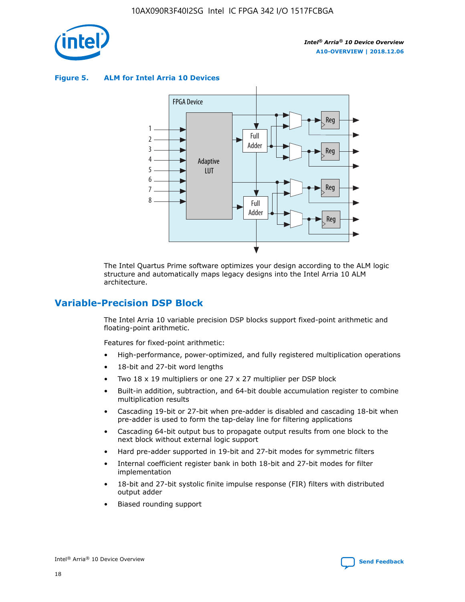

**Figure 5. ALM for Intel Arria 10 Devices**



The Intel Quartus Prime software optimizes your design according to the ALM logic structure and automatically maps legacy designs into the Intel Arria 10 ALM architecture.

## **Variable-Precision DSP Block**

The Intel Arria 10 variable precision DSP blocks support fixed-point arithmetic and floating-point arithmetic.

Features for fixed-point arithmetic:

- High-performance, power-optimized, and fully registered multiplication operations
- 18-bit and 27-bit word lengths
- Two 18 x 19 multipliers or one 27 x 27 multiplier per DSP block
- Built-in addition, subtraction, and 64-bit double accumulation register to combine multiplication results
- Cascading 19-bit or 27-bit when pre-adder is disabled and cascading 18-bit when pre-adder is used to form the tap-delay line for filtering applications
- Cascading 64-bit output bus to propagate output results from one block to the next block without external logic support
- Hard pre-adder supported in 19-bit and 27-bit modes for symmetric filters
- Internal coefficient register bank in both 18-bit and 27-bit modes for filter implementation
- 18-bit and 27-bit systolic finite impulse response (FIR) filters with distributed output adder
- Biased rounding support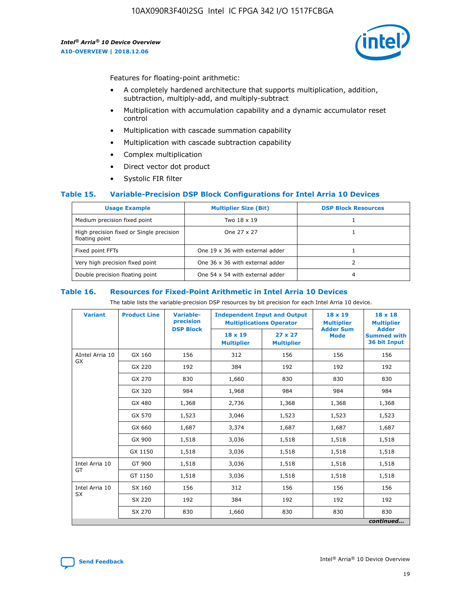

Features for floating-point arithmetic:

- A completely hardened architecture that supports multiplication, addition, subtraction, multiply-add, and multiply-subtract
- Multiplication with accumulation capability and a dynamic accumulator reset control
- Multiplication with cascade summation capability
- Multiplication with cascade subtraction capability
- Complex multiplication
- Direct vector dot product
- Systolic FIR filter

## **Table 15. Variable-Precision DSP Block Configurations for Intel Arria 10 Devices**

| <b>Usage Example</b>                                       | <b>Multiplier Size (Bit)</b>    | <b>DSP Block Resources</b> |
|------------------------------------------------------------|---------------------------------|----------------------------|
| Medium precision fixed point                               | Two 18 x 19                     |                            |
| High precision fixed or Single precision<br>floating point | One 27 x 27                     |                            |
| Fixed point FFTs                                           | One 19 x 36 with external adder |                            |
| Very high precision fixed point                            | One 36 x 36 with external adder |                            |
| Double precision floating point                            | One 54 x 54 with external adder | 4                          |

#### **Table 16. Resources for Fixed-Point Arithmetic in Intel Arria 10 Devices**

The table lists the variable-precision DSP resources by bit precision for each Intel Arria 10 device.

| <b>Variant</b>        | <b>Product Line</b> | <b>Variable-</b><br>precision<br><b>DSP Block</b> | <b>Independent Input and Output</b><br><b>Multiplications Operator</b> |                                     | 18 x 19<br><b>Multiplier</b><br><b>Adder Sum</b> | $18 \times 18$<br><b>Multiplier</b><br><b>Adder</b> |
|-----------------------|---------------------|---------------------------------------------------|------------------------------------------------------------------------|-------------------------------------|--------------------------------------------------|-----------------------------------------------------|
|                       |                     |                                                   | 18 x 19<br><b>Multiplier</b>                                           | $27 \times 27$<br><b>Multiplier</b> | <b>Mode</b>                                      | <b>Summed with</b><br>36 bit Input                  |
| AIntel Arria 10<br>GX | GX 160              | 156                                               | 312                                                                    | 156                                 | 156                                              | 156                                                 |
|                       | GX 220              | 192                                               | 384                                                                    | 192                                 | 192                                              | 192                                                 |
|                       | GX 270              | 830                                               | 1,660                                                                  | 830                                 | 830                                              | 830                                                 |
|                       | GX 320              | 984                                               | 1,968                                                                  | 984                                 | 984                                              | 984                                                 |
|                       | GX 480              | 1,368                                             | 2,736                                                                  | 1,368                               | 1,368                                            | 1,368                                               |
|                       | GX 570              | 1,523                                             | 3,046                                                                  | 1,523                               | 1,523                                            | 1,523                                               |
|                       | GX 660              | 1,687                                             | 3,374                                                                  | 1,687                               | 1,687                                            | 1,687                                               |
|                       | GX 900              | 1,518                                             | 3,036                                                                  | 1,518                               | 1,518                                            | 1,518                                               |
|                       | GX 1150             | 1,518                                             | 3,036                                                                  | 1,518                               | 1,518                                            | 1,518                                               |
| Intel Arria 10        | GT 900              | 1,518                                             | 3,036                                                                  | 1,518                               | 1,518                                            | 1,518                                               |
| GT                    | GT 1150             | 1,518                                             | 3,036                                                                  | 1,518                               | 1,518                                            | 1,518                                               |
| Intel Arria 10        | SX 160              | 156                                               | 312                                                                    | 156                                 | 156                                              | 156                                                 |
| <b>SX</b>             | SX 220              | 192                                               | 384                                                                    | 192                                 | 192                                              | 192                                                 |
|                       | SX 270              | 830                                               | 1,660                                                                  | 830                                 | 830                                              | 830                                                 |
|                       |                     |                                                   |                                                                        |                                     |                                                  | continued                                           |

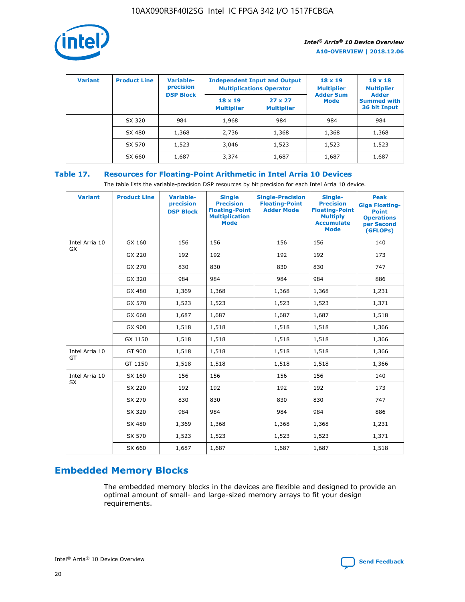

| <b>Variant</b> | <b>Product Line</b> | <b>Variable-</b><br>precision |                                     | <b>Independent Input and Output</b><br><b>Multiplications Operator</b> | $18 \times 19$<br><b>Multiplier</b> | $18 \times 18$<br><b>Multiplier</b><br><b>Adder</b> |  |
|----------------|---------------------|-------------------------------|-------------------------------------|------------------------------------------------------------------------|-------------------------------------|-----------------------------------------------------|--|
|                |                     | <b>DSP Block</b>              | $18 \times 19$<br><b>Multiplier</b> | $27 \times 27$<br><b>Multiplier</b>                                    | <b>Adder Sum</b><br><b>Mode</b>     | <b>Summed with</b><br>36 bit Input                  |  |
|                | SX 320              | 984                           | 1,968                               | 984                                                                    | 984                                 | 984                                                 |  |
|                | SX 480              | 1,368                         | 2,736                               | 1,368                                                                  | 1,368                               | 1,368                                               |  |
|                | SX 570              | 1,523                         | 3,046                               | 1,523                                                                  | 1,523                               | 1,523                                               |  |
|                | SX 660              | 1,687                         | 3,374                               | 1,687                                                                  | 1,687                               | 1,687                                               |  |

## **Table 17. Resources for Floating-Point Arithmetic in Intel Arria 10 Devices**

The table lists the variable-precision DSP resources by bit precision for each Intel Arria 10 device.

| <b>Variant</b> | <b>Product Line</b> | <b>Variable-</b><br>precision<br><b>DSP Block</b> | <b>Single</b><br><b>Precision</b><br><b>Floating-Point</b><br><b>Multiplication</b><br><b>Mode</b> | <b>Single-Precision</b><br><b>Floating-Point</b><br><b>Adder Mode</b> | Single-<br><b>Precision</b><br><b>Floating-Point</b><br><b>Multiply</b><br><b>Accumulate</b><br><b>Mode</b> | <b>Peak</b><br><b>Giga Floating-</b><br><b>Point</b><br><b>Operations</b><br>per Second<br>(GFLOPs) |
|----------------|---------------------|---------------------------------------------------|----------------------------------------------------------------------------------------------------|-----------------------------------------------------------------------|-------------------------------------------------------------------------------------------------------------|-----------------------------------------------------------------------------------------------------|
| Intel Arria 10 | GX 160              | 156                                               | 156                                                                                                | 156                                                                   | 156                                                                                                         | 140                                                                                                 |
| GX             | GX 220              | 192                                               | 192                                                                                                | 192                                                                   | 192                                                                                                         | 173                                                                                                 |
|                | GX 270              | 830                                               | 830                                                                                                | 830                                                                   | 830                                                                                                         | 747                                                                                                 |
|                | GX 320              | 984                                               | 984                                                                                                | 984                                                                   | 984                                                                                                         | 886                                                                                                 |
|                | GX 480              | 1,369                                             | 1,368                                                                                              | 1,368                                                                 | 1,368                                                                                                       | 1,231                                                                                               |
|                | GX 570              | 1,523                                             | 1,523                                                                                              | 1,523                                                                 | 1,523                                                                                                       | 1,371                                                                                               |
|                | GX 660              | 1,687                                             | 1,687                                                                                              | 1,687                                                                 | 1,687                                                                                                       | 1,518                                                                                               |
|                | GX 900              | 1,518                                             | 1,518                                                                                              | 1,518                                                                 | 1,518                                                                                                       | 1,366                                                                                               |
|                | GX 1150             | 1,518                                             | 1,518                                                                                              | 1,518                                                                 | 1,518                                                                                                       | 1,366                                                                                               |
| Intel Arria 10 | GT 900              | 1,518                                             | 1,518                                                                                              | 1,518                                                                 | 1,518                                                                                                       | 1,366                                                                                               |
| GT             | GT 1150             | 1,518                                             | 1,518                                                                                              | 1,518                                                                 | 1,518                                                                                                       | 1,366                                                                                               |
| Intel Arria 10 | SX 160              | 156                                               | 156                                                                                                | 156                                                                   | 156                                                                                                         | 140                                                                                                 |
| <b>SX</b>      | SX 220              | 192                                               | 192                                                                                                | 192                                                                   | 192                                                                                                         | 173                                                                                                 |
|                | SX 270              | 830                                               | 830                                                                                                | 830                                                                   | 830                                                                                                         | 747                                                                                                 |
|                | SX 320              | 984                                               | 984                                                                                                | 984                                                                   | 984                                                                                                         | 886                                                                                                 |
|                | SX 480              | 1,369                                             | 1,368                                                                                              | 1,368                                                                 | 1,368                                                                                                       | 1,231                                                                                               |
|                | SX 570              | 1,523                                             | 1,523                                                                                              | 1,523                                                                 | 1,523                                                                                                       | 1,371                                                                                               |
|                | SX 660              | 1,687                                             | 1,687                                                                                              | 1,687                                                                 | 1,687                                                                                                       | 1,518                                                                                               |

# **Embedded Memory Blocks**

The embedded memory blocks in the devices are flexible and designed to provide an optimal amount of small- and large-sized memory arrays to fit your design requirements.

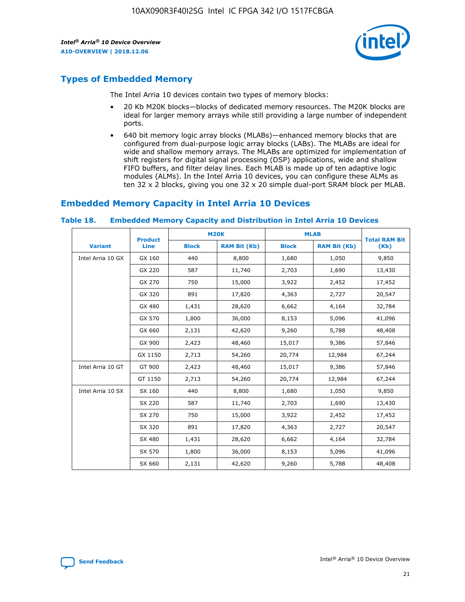

## **Types of Embedded Memory**

The Intel Arria 10 devices contain two types of memory blocks:

- 20 Kb M20K blocks—blocks of dedicated memory resources. The M20K blocks are ideal for larger memory arrays while still providing a large number of independent ports.
- 640 bit memory logic array blocks (MLABs)—enhanced memory blocks that are configured from dual-purpose logic array blocks (LABs). The MLABs are ideal for wide and shallow memory arrays. The MLABs are optimized for implementation of shift registers for digital signal processing (DSP) applications, wide and shallow FIFO buffers, and filter delay lines. Each MLAB is made up of ten adaptive logic modules (ALMs). In the Intel Arria 10 devices, you can configure these ALMs as ten 32 x 2 blocks, giving you one 32 x 20 simple dual-port SRAM block per MLAB.

## **Embedded Memory Capacity in Intel Arria 10 Devices**

|                   | <b>Product</b> |              | <b>M20K</b>         | <b>MLAB</b>  |                     | <b>Total RAM Bit</b> |
|-------------------|----------------|--------------|---------------------|--------------|---------------------|----------------------|
| <b>Variant</b>    | <b>Line</b>    | <b>Block</b> | <b>RAM Bit (Kb)</b> | <b>Block</b> | <b>RAM Bit (Kb)</b> | (Kb)                 |
| Intel Arria 10 GX | GX 160         | 440          | 8,800               | 1,680        | 1,050               | 9,850                |
|                   | GX 220         | 587          | 11,740              | 2,703        | 1,690               | 13,430               |
|                   | GX 270         | 750          | 15,000              | 3,922        | 2,452               | 17,452               |
|                   | GX 320         | 891          | 17,820              | 4,363        | 2,727               | 20,547               |
|                   | GX 480         | 1,431        | 28,620              | 6,662        | 4,164               | 32,784               |
|                   | GX 570         | 1,800        | 36,000              | 8,153        | 5,096               | 41,096               |
|                   | GX 660         | 2,131        | 42,620              | 9,260        | 5,788               | 48,408               |
|                   | GX 900         | 2,423        | 48,460              | 15,017       | 9,386               | 57,846               |
|                   | GX 1150        | 2,713        | 54,260              | 20,774       | 12,984              | 67,244               |
| Intel Arria 10 GT | GT 900         | 2,423        | 48,460              | 15,017       | 9,386               | 57,846               |
|                   | GT 1150        | 2,713        | 54,260              | 20,774       | 12,984              | 67,244               |
| Intel Arria 10 SX | SX 160         | 440          | 8,800               | 1,680        | 1,050               | 9,850                |
|                   | SX 220         | 587          | 11,740              | 2,703        | 1,690               | 13,430               |
|                   | SX 270         | 750          | 15,000              | 3,922        | 2,452               | 17,452               |
|                   | SX 320         | 891          | 17,820              | 4,363        | 2,727               | 20,547               |
|                   | SX 480         | 1,431        | 28,620              | 6,662        | 4,164               | 32,784               |
|                   | SX 570         | 1,800        | 36,000              | 8,153        | 5,096               | 41,096               |
|                   | SX 660         | 2,131        | 42,620              | 9,260        | 5,788               | 48,408               |

#### **Table 18. Embedded Memory Capacity and Distribution in Intel Arria 10 Devices**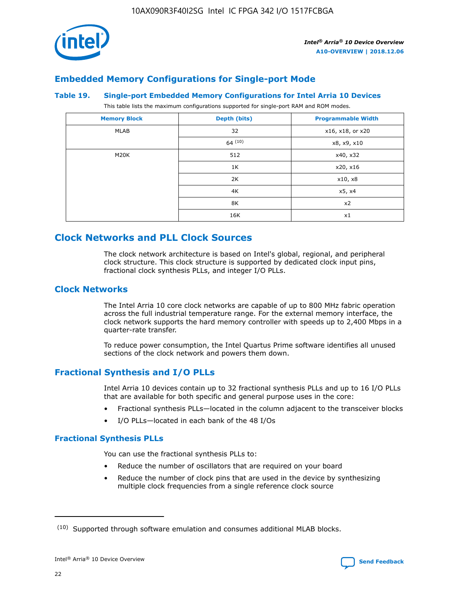

## **Embedded Memory Configurations for Single-port Mode**

#### **Table 19. Single-port Embedded Memory Configurations for Intel Arria 10 Devices**

This table lists the maximum configurations supported for single-port RAM and ROM modes.

| <b>Memory Block</b> | Depth (bits) | <b>Programmable Width</b> |
|---------------------|--------------|---------------------------|
| MLAB                | 32           | x16, x18, or x20          |
|                     | 64(10)       | x8, x9, x10               |
| M20K                | 512          | x40, x32                  |
|                     | 1K           | x20, x16                  |
|                     | 2K           | x10, x8                   |
|                     | 4K           | x5, x4                    |
|                     | 8K           | x2                        |
|                     | 16K          | x1                        |

## **Clock Networks and PLL Clock Sources**

The clock network architecture is based on Intel's global, regional, and peripheral clock structure. This clock structure is supported by dedicated clock input pins, fractional clock synthesis PLLs, and integer I/O PLLs.

## **Clock Networks**

The Intel Arria 10 core clock networks are capable of up to 800 MHz fabric operation across the full industrial temperature range. For the external memory interface, the clock network supports the hard memory controller with speeds up to 2,400 Mbps in a quarter-rate transfer.

To reduce power consumption, the Intel Quartus Prime software identifies all unused sections of the clock network and powers them down.

## **Fractional Synthesis and I/O PLLs**

Intel Arria 10 devices contain up to 32 fractional synthesis PLLs and up to 16 I/O PLLs that are available for both specific and general purpose uses in the core:

- Fractional synthesis PLLs—located in the column adjacent to the transceiver blocks
- I/O PLLs—located in each bank of the 48 I/Os

## **Fractional Synthesis PLLs**

You can use the fractional synthesis PLLs to:

- Reduce the number of oscillators that are required on your board
- Reduce the number of clock pins that are used in the device by synthesizing multiple clock frequencies from a single reference clock source

<sup>(10)</sup> Supported through software emulation and consumes additional MLAB blocks.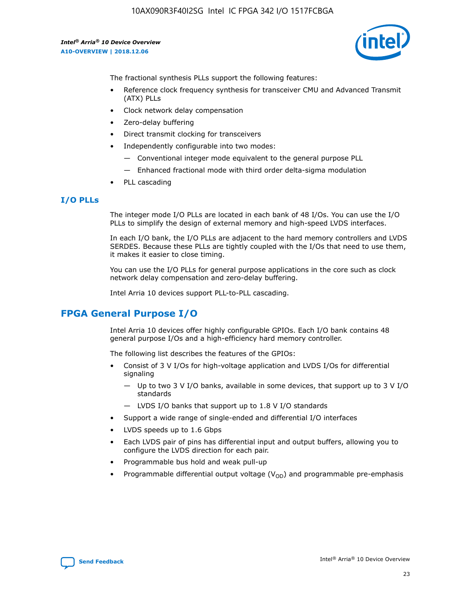

The fractional synthesis PLLs support the following features:

- Reference clock frequency synthesis for transceiver CMU and Advanced Transmit (ATX) PLLs
- Clock network delay compensation
- Zero-delay buffering
- Direct transmit clocking for transceivers
- Independently configurable into two modes:
	- Conventional integer mode equivalent to the general purpose PLL
	- Enhanced fractional mode with third order delta-sigma modulation
- PLL cascading

## **I/O PLLs**

The integer mode I/O PLLs are located in each bank of 48 I/Os. You can use the I/O PLLs to simplify the design of external memory and high-speed LVDS interfaces.

In each I/O bank, the I/O PLLs are adjacent to the hard memory controllers and LVDS SERDES. Because these PLLs are tightly coupled with the I/Os that need to use them, it makes it easier to close timing.

You can use the I/O PLLs for general purpose applications in the core such as clock network delay compensation and zero-delay buffering.

Intel Arria 10 devices support PLL-to-PLL cascading.

## **FPGA General Purpose I/O**

Intel Arria 10 devices offer highly configurable GPIOs. Each I/O bank contains 48 general purpose I/Os and a high-efficiency hard memory controller.

The following list describes the features of the GPIOs:

- Consist of 3 V I/Os for high-voltage application and LVDS I/Os for differential signaling
	- Up to two 3 V I/O banks, available in some devices, that support up to 3 V I/O standards
	- LVDS I/O banks that support up to 1.8 V I/O standards
- Support a wide range of single-ended and differential I/O interfaces
- LVDS speeds up to 1.6 Gbps
- Each LVDS pair of pins has differential input and output buffers, allowing you to configure the LVDS direction for each pair.
- Programmable bus hold and weak pull-up
- Programmable differential output voltage  $(V_{OD})$  and programmable pre-emphasis

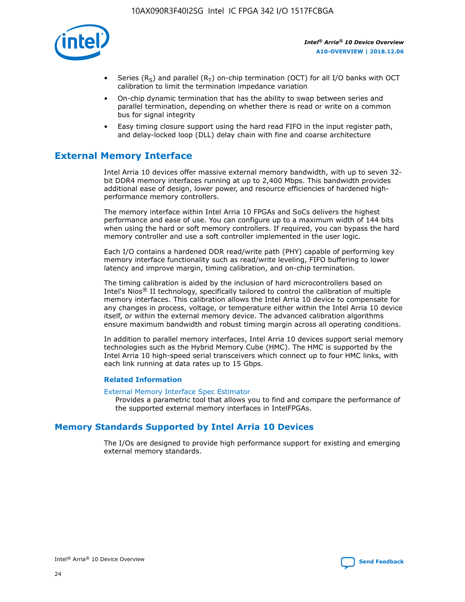

- Series (R<sub>S</sub>) and parallel (R<sub>T</sub>) on-chip termination (OCT) for all I/O banks with OCT calibration to limit the termination impedance variation
- On-chip dynamic termination that has the ability to swap between series and parallel termination, depending on whether there is read or write on a common bus for signal integrity
- Easy timing closure support using the hard read FIFO in the input register path, and delay-locked loop (DLL) delay chain with fine and coarse architecture

## **External Memory Interface**

Intel Arria 10 devices offer massive external memory bandwidth, with up to seven 32 bit DDR4 memory interfaces running at up to 2,400 Mbps. This bandwidth provides additional ease of design, lower power, and resource efficiencies of hardened highperformance memory controllers.

The memory interface within Intel Arria 10 FPGAs and SoCs delivers the highest performance and ease of use. You can configure up to a maximum width of 144 bits when using the hard or soft memory controllers. If required, you can bypass the hard memory controller and use a soft controller implemented in the user logic.

Each I/O contains a hardened DDR read/write path (PHY) capable of performing key memory interface functionality such as read/write leveling, FIFO buffering to lower latency and improve margin, timing calibration, and on-chip termination.

The timing calibration is aided by the inclusion of hard microcontrollers based on Intel's Nios® II technology, specifically tailored to control the calibration of multiple memory interfaces. This calibration allows the Intel Arria 10 device to compensate for any changes in process, voltage, or temperature either within the Intel Arria 10 device itself, or within the external memory device. The advanced calibration algorithms ensure maximum bandwidth and robust timing margin across all operating conditions.

In addition to parallel memory interfaces, Intel Arria 10 devices support serial memory technologies such as the Hybrid Memory Cube (HMC). The HMC is supported by the Intel Arria 10 high-speed serial transceivers which connect up to four HMC links, with each link running at data rates up to 15 Gbps.

## **Related Information**

#### [External Memory Interface Spec Estimator](http://www.altera.com/technology/memory/estimator/mem-emif-index.html)

Provides a parametric tool that allows you to find and compare the performance of the supported external memory interfaces in IntelFPGAs.

## **Memory Standards Supported by Intel Arria 10 Devices**

The I/Os are designed to provide high performance support for existing and emerging external memory standards.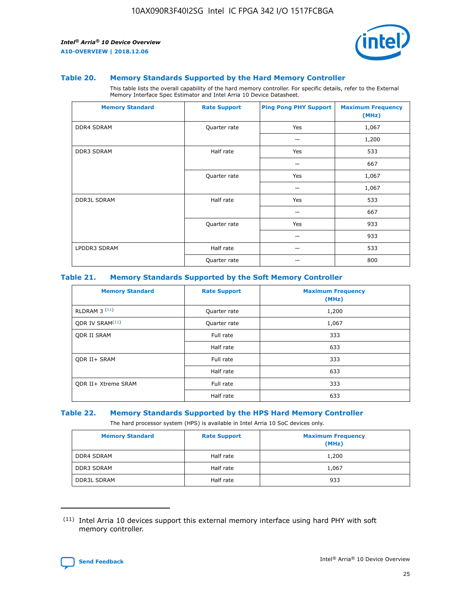

#### **Table 20. Memory Standards Supported by the Hard Memory Controller**

This table lists the overall capability of the hard memory controller. For specific details, refer to the External Memory Interface Spec Estimator and Intel Arria 10 Device Datasheet.

| <b>Memory Standard</b> | <b>Rate Support</b> | <b>Ping Pong PHY Support</b> | <b>Maximum Frequency</b><br>(MHz) |
|------------------------|---------------------|------------------------------|-----------------------------------|
| <b>DDR4 SDRAM</b>      | Quarter rate        | Yes                          | 1,067                             |
|                        |                     |                              | 1,200                             |
| DDR3 SDRAM             | Half rate           | Yes                          | 533                               |
|                        |                     |                              | 667                               |
|                        | Quarter rate        | Yes                          | 1,067                             |
|                        |                     |                              | 1,067                             |
| <b>DDR3L SDRAM</b>     | Half rate           | Yes                          | 533                               |
|                        |                     |                              | 667                               |
|                        | Quarter rate        | Yes                          | 933                               |
|                        |                     |                              | 933                               |
| LPDDR3 SDRAM           | Half rate           |                              | 533                               |
|                        | Quarter rate        |                              | 800                               |

## **Table 21. Memory Standards Supported by the Soft Memory Controller**

| <b>Memory Standard</b>      | <b>Rate Support</b> | <b>Maximum Frequency</b><br>(MHz) |
|-----------------------------|---------------------|-----------------------------------|
| <b>RLDRAM 3 (11)</b>        | Quarter rate        | 1,200                             |
| ODR IV SRAM <sup>(11)</sup> | Quarter rate        | 1,067                             |
| <b>ODR II SRAM</b>          | Full rate           | 333                               |
|                             | Half rate           | 633                               |
| <b>ODR II+ SRAM</b>         | Full rate           | 333                               |
|                             | Half rate           | 633                               |
| <b>ODR II+ Xtreme SRAM</b>  | Full rate           | 333                               |
|                             | Half rate           | 633                               |

#### **Table 22. Memory Standards Supported by the HPS Hard Memory Controller**

The hard processor system (HPS) is available in Intel Arria 10 SoC devices only.

| <b>Memory Standard</b> | <b>Rate Support</b> | <b>Maximum Frequency</b><br>(MHz) |
|------------------------|---------------------|-----------------------------------|
| <b>DDR4 SDRAM</b>      | Half rate           | 1,200                             |
| <b>DDR3 SDRAM</b>      | Half rate           | 1,067                             |
| <b>DDR3L SDRAM</b>     | Half rate           | 933                               |

<sup>(11)</sup> Intel Arria 10 devices support this external memory interface using hard PHY with soft memory controller.

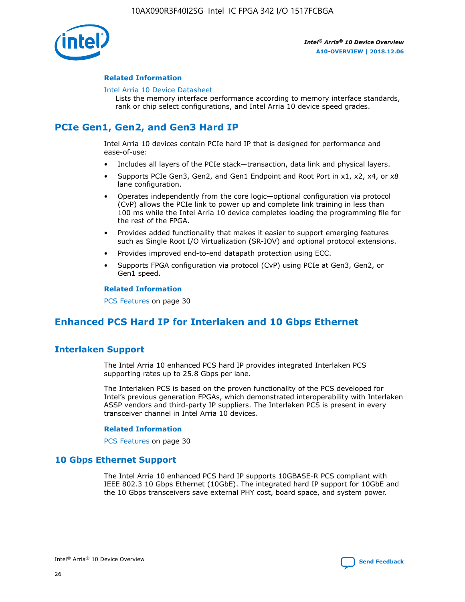

## **Related Information**

#### [Intel Arria 10 Device Datasheet](https://www.intel.com/content/www/us/en/programmable/documentation/mcn1413182292568.html#mcn1413182153340)

Lists the memory interface performance according to memory interface standards, rank or chip select configurations, and Intel Arria 10 device speed grades.

# **PCIe Gen1, Gen2, and Gen3 Hard IP**

Intel Arria 10 devices contain PCIe hard IP that is designed for performance and ease-of-use:

- Includes all layers of the PCIe stack—transaction, data link and physical layers.
- Supports PCIe Gen3, Gen2, and Gen1 Endpoint and Root Port in x1, x2, x4, or x8 lane configuration.
- Operates independently from the core logic—optional configuration via protocol (CvP) allows the PCIe link to power up and complete link training in less than 100 ms while the Intel Arria 10 device completes loading the programming file for the rest of the FPGA.
- Provides added functionality that makes it easier to support emerging features such as Single Root I/O Virtualization (SR-IOV) and optional protocol extensions.
- Provides improved end-to-end datapath protection using ECC.
- Supports FPGA configuration via protocol (CvP) using PCIe at Gen3, Gen2, or Gen1 speed.

#### **Related Information**

PCS Features on page 30

## **Enhanced PCS Hard IP for Interlaken and 10 Gbps Ethernet**

## **Interlaken Support**

The Intel Arria 10 enhanced PCS hard IP provides integrated Interlaken PCS supporting rates up to 25.8 Gbps per lane.

The Interlaken PCS is based on the proven functionality of the PCS developed for Intel's previous generation FPGAs, which demonstrated interoperability with Interlaken ASSP vendors and third-party IP suppliers. The Interlaken PCS is present in every transceiver channel in Intel Arria 10 devices.

## **Related Information**

PCS Features on page 30

## **10 Gbps Ethernet Support**

The Intel Arria 10 enhanced PCS hard IP supports 10GBASE-R PCS compliant with IEEE 802.3 10 Gbps Ethernet (10GbE). The integrated hard IP support for 10GbE and the 10 Gbps transceivers save external PHY cost, board space, and system power.

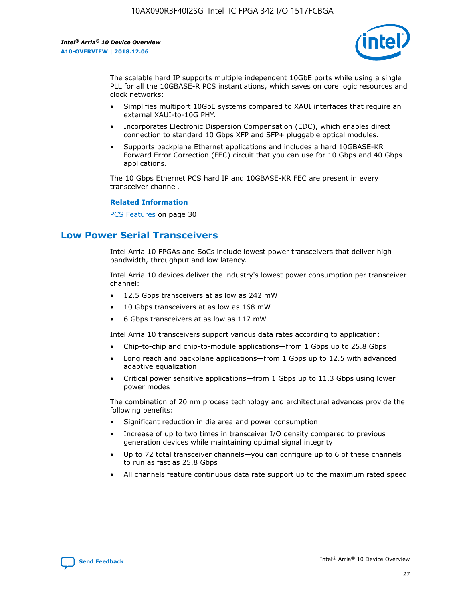

The scalable hard IP supports multiple independent 10GbE ports while using a single PLL for all the 10GBASE-R PCS instantiations, which saves on core logic resources and clock networks:

- Simplifies multiport 10GbE systems compared to XAUI interfaces that require an external XAUI-to-10G PHY.
- Incorporates Electronic Dispersion Compensation (EDC), which enables direct connection to standard 10 Gbps XFP and SFP+ pluggable optical modules.
- Supports backplane Ethernet applications and includes a hard 10GBASE-KR Forward Error Correction (FEC) circuit that you can use for 10 Gbps and 40 Gbps applications.

The 10 Gbps Ethernet PCS hard IP and 10GBASE-KR FEC are present in every transceiver channel.

#### **Related Information**

PCS Features on page 30

## **Low Power Serial Transceivers**

Intel Arria 10 FPGAs and SoCs include lowest power transceivers that deliver high bandwidth, throughput and low latency.

Intel Arria 10 devices deliver the industry's lowest power consumption per transceiver channel:

- 12.5 Gbps transceivers at as low as 242 mW
- 10 Gbps transceivers at as low as 168 mW
- 6 Gbps transceivers at as low as 117 mW

Intel Arria 10 transceivers support various data rates according to application:

- Chip-to-chip and chip-to-module applications—from 1 Gbps up to 25.8 Gbps
- Long reach and backplane applications—from 1 Gbps up to 12.5 with advanced adaptive equalization
- Critical power sensitive applications—from 1 Gbps up to 11.3 Gbps using lower power modes

The combination of 20 nm process technology and architectural advances provide the following benefits:

- Significant reduction in die area and power consumption
- Increase of up to two times in transceiver I/O density compared to previous generation devices while maintaining optimal signal integrity
- Up to 72 total transceiver channels—you can configure up to 6 of these channels to run as fast as 25.8 Gbps
- All channels feature continuous data rate support up to the maximum rated speed

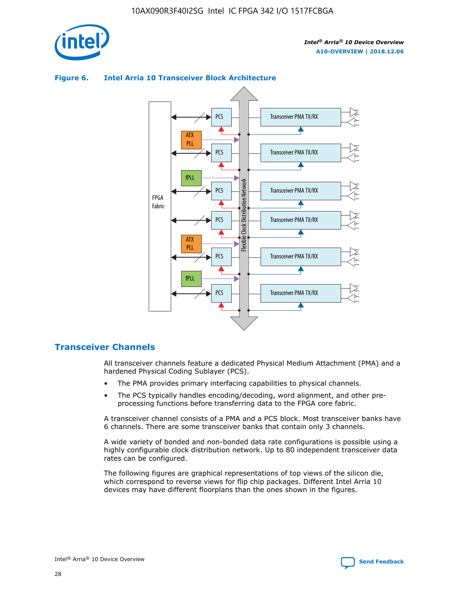

## Transceiver PMA TX/RX PCS ATX PLL Transceiver PMA TX/RX PCS fPLL Network Flexible Clock Distribution Network PCS Transceiver PMA TX/RX FPGA **Clock Distribution** Fabric PCS Transceiver PMA TX/RX ATX Flexible PLL PCS Transceiver PMA TX/RX ▲ fPLL Transceiver PMA TX/RX PCS 4

## **Figure 6. Intel Arria 10 Transceiver Block Architecture**

## **Transceiver Channels**

All transceiver channels feature a dedicated Physical Medium Attachment (PMA) and a hardened Physical Coding Sublayer (PCS).

- The PMA provides primary interfacing capabilities to physical channels.
- The PCS typically handles encoding/decoding, word alignment, and other preprocessing functions before transferring data to the FPGA core fabric.

A transceiver channel consists of a PMA and a PCS block. Most transceiver banks have 6 channels. There are some transceiver banks that contain only 3 channels.

A wide variety of bonded and non-bonded data rate configurations is possible using a highly configurable clock distribution network. Up to 80 independent transceiver data rates can be configured.

The following figures are graphical representations of top views of the silicon die, which correspond to reverse views for flip chip packages. Different Intel Arria 10 devices may have different floorplans than the ones shown in the figures.

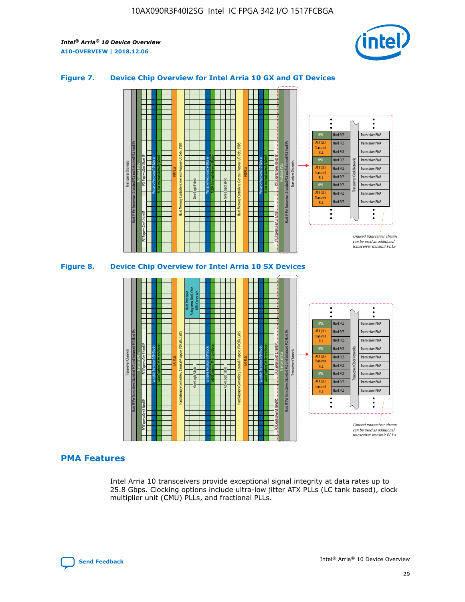

## **Figure 7. Device Chip Overview for Intel Arria 10 GX and GT Devices**



M20K Internal Memory Blocks Core Logic Fabric Transceiver Channels Hard IP Per Transceiver: Standard PCS and Enhanced PCS Hard IPs PCI Express Gen3 Hard IP Fractional PLLs M20K Internal Memory Blocks PCI Express Gen3 Hard IP Variable Precision DSP Blocks I/O PLLs Hard Memory Controllers, General-Purpose I/O Cells, LVDS Hard Processor Subsystem, Dual-Core ARM Cortex A9 M20K Internal Memory Blocks Variable Precision DSP Blocks M20K Internal Memory Blocks Core Logic Fabric I/O PLLs Hard Memory Controllers, General-Purpose I/O Cells, LVDS M20K Internal Memory Blocks Variable Precision DSP Blocks M20K Internal Memory Blocks Transceiver Channels Hard IP Per Transceiver: Standard PCS and Enhanced PCS Hard IPs PCI Express Gen3 Hard IP Fractional PLLs PCI Express Gen3 Hard IP  $\ddot{\cdot}$ Hard PCS Transceiver PMA fPLL ATX (LC) Hard PCS Transceiver PMA **Transmit** Hard PCS Transceiver PMA PLL fPLL Hard PCS Transceiver PMA Transceiver Clock Networks ATX (LC) Hard PCS Transceiver PMA Transmi Hard PCS Transceiver PMA PLL fPLL Hard PCS Transceiver PMA Transceiver PMA Hard PCS ATX (LC) **Transmit** Hard PCS Transceiver PMA PLL Unused transceiver chann can be used as additional transceiver transmit PLLs

## **PMA Features**

Intel Arria 10 transceivers provide exceptional signal integrity at data rates up to 25.8 Gbps. Clocking options include ultra-low jitter ATX PLLs (LC tank based), clock multiplier unit (CMU) PLLs, and fractional PLLs.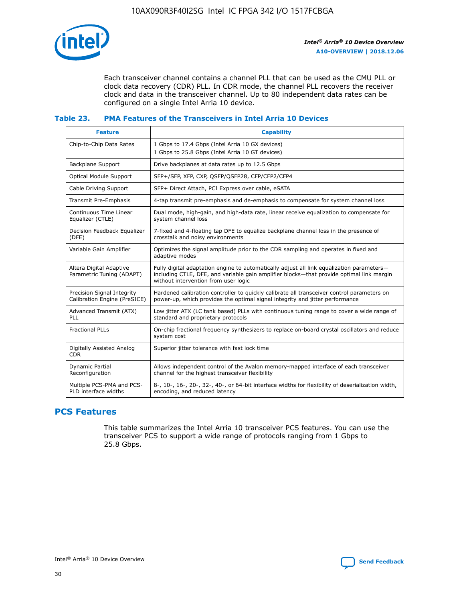

Each transceiver channel contains a channel PLL that can be used as the CMU PLL or clock data recovery (CDR) PLL. In CDR mode, the channel PLL recovers the receiver clock and data in the transceiver channel. Up to 80 independent data rates can be configured on a single Intel Arria 10 device.

## **Table 23. PMA Features of the Transceivers in Intel Arria 10 Devices**

| <b>Feature</b>                                             | <b>Capability</b>                                                                                                                                                                                                             |
|------------------------------------------------------------|-------------------------------------------------------------------------------------------------------------------------------------------------------------------------------------------------------------------------------|
| Chip-to-Chip Data Rates                                    | 1 Gbps to 17.4 Gbps (Intel Arria 10 GX devices)<br>1 Gbps to 25.8 Gbps (Intel Arria 10 GT devices)                                                                                                                            |
| <b>Backplane Support</b>                                   | Drive backplanes at data rates up to 12.5 Gbps                                                                                                                                                                                |
| <b>Optical Module Support</b>                              | SFP+/SFP, XFP, CXP, QSFP/QSFP28, CFP/CFP2/CFP4                                                                                                                                                                                |
| Cable Driving Support                                      | SFP+ Direct Attach, PCI Express over cable, eSATA                                                                                                                                                                             |
| Transmit Pre-Emphasis                                      | 4-tap transmit pre-emphasis and de-emphasis to compensate for system channel loss                                                                                                                                             |
| Continuous Time Linear<br>Equalizer (CTLE)                 | Dual mode, high-gain, and high-data rate, linear receive equalization to compensate for<br>system channel loss                                                                                                                |
| Decision Feedback Equalizer<br>(DFE)                       | 7-fixed and 4-floating tap DFE to equalize backplane channel loss in the presence of<br>crosstalk and noisy environments                                                                                                      |
| Variable Gain Amplifier                                    | Optimizes the signal amplitude prior to the CDR sampling and operates in fixed and<br>adaptive modes                                                                                                                          |
| Altera Digital Adaptive<br>Parametric Tuning (ADAPT)       | Fully digital adaptation engine to automatically adjust all link equalization parameters-<br>including CTLE, DFE, and variable gain amplifier blocks—that provide optimal link margin<br>without intervention from user logic |
| Precision Signal Integrity<br>Calibration Engine (PreSICE) | Hardened calibration controller to quickly calibrate all transceiver control parameters on<br>power-up, which provides the optimal signal integrity and jitter performance                                                    |
| Advanced Transmit (ATX)<br>PLL                             | Low jitter ATX (LC tank based) PLLs with continuous tuning range to cover a wide range of<br>standard and proprietary protocols                                                                                               |
| <b>Fractional PLLs</b>                                     | On-chip fractional frequency synthesizers to replace on-board crystal oscillators and reduce<br>system cost                                                                                                                   |
| Digitally Assisted Analog<br><b>CDR</b>                    | Superior jitter tolerance with fast lock time                                                                                                                                                                                 |
| Dynamic Partial<br>Reconfiguration                         | Allows independent control of the Avalon memory-mapped interface of each transceiver<br>channel for the highest transceiver flexibility                                                                                       |
| Multiple PCS-PMA and PCS-<br>PLD interface widths          | 8-, 10-, 16-, 20-, 32-, 40-, or 64-bit interface widths for flexibility of deserialization width,<br>encoding, and reduced latency                                                                                            |

## **PCS Features**

This table summarizes the Intel Arria 10 transceiver PCS features. You can use the transceiver PCS to support a wide range of protocols ranging from 1 Gbps to 25.8 Gbps.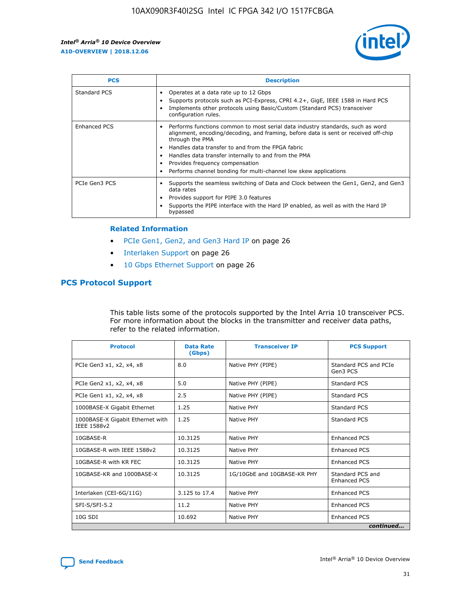

| <b>PCS</b>    | <b>Description</b>                                                                                                                                                                                                                                                                                                                                                                                             |
|---------------|----------------------------------------------------------------------------------------------------------------------------------------------------------------------------------------------------------------------------------------------------------------------------------------------------------------------------------------------------------------------------------------------------------------|
| Standard PCS  | Operates at a data rate up to 12 Gbps<br>Supports protocols such as PCI-Express, CPRI 4.2+, GigE, IEEE 1588 in Hard PCS<br>Implements other protocols using Basic/Custom (Standard PCS) transceiver<br>configuration rules.                                                                                                                                                                                    |
| Enhanced PCS  | Performs functions common to most serial data industry standards, such as word<br>alignment, encoding/decoding, and framing, before data is sent or received off-chip<br>through the PMA<br>• Handles data transfer to and from the FPGA fabric<br>Handles data transfer internally to and from the PMA<br>Provides frequency compensation<br>Performs channel bonding for multi-channel low skew applications |
| PCIe Gen3 PCS | Supports the seamless switching of Data and Clock between the Gen1, Gen2, and Gen3<br>data rates<br>Provides support for PIPE 3.0 features<br>Supports the PIPE interface with the Hard IP enabled, as well as with the Hard IP<br>bypassed                                                                                                                                                                    |

#### **Related Information**

- PCIe Gen1, Gen2, and Gen3 Hard IP on page 26
- Interlaken Support on page 26
- 10 Gbps Ethernet Support on page 26

## **PCS Protocol Support**

This table lists some of the protocols supported by the Intel Arria 10 transceiver PCS. For more information about the blocks in the transmitter and receiver data paths, refer to the related information.

| <b>Protocol</b>                                 | <b>Data Rate</b><br>(Gbps) | <b>Transceiver IP</b>       | <b>PCS Support</b>                      |
|-------------------------------------------------|----------------------------|-----------------------------|-----------------------------------------|
| PCIe Gen3 x1, x2, x4, x8                        | 8.0                        | Native PHY (PIPE)           | Standard PCS and PCIe<br>Gen3 PCS       |
| PCIe Gen2 x1, x2, x4, x8                        | 5.0                        | Native PHY (PIPE)           | <b>Standard PCS</b>                     |
| PCIe Gen1 x1, x2, x4, x8                        | 2.5                        | Native PHY (PIPE)           | Standard PCS                            |
| 1000BASE-X Gigabit Ethernet                     | 1.25                       | Native PHY                  | <b>Standard PCS</b>                     |
| 1000BASE-X Gigabit Ethernet with<br>IEEE 1588v2 | 1.25                       | Native PHY                  | Standard PCS                            |
| 10GBASE-R                                       | 10.3125                    | Native PHY                  | <b>Enhanced PCS</b>                     |
| 10GBASE-R with IEEE 1588v2                      | 10.3125                    | Native PHY                  | <b>Enhanced PCS</b>                     |
| 10GBASE-R with KR FEC                           | 10.3125                    | Native PHY                  | <b>Enhanced PCS</b>                     |
| 10GBASE-KR and 1000BASE-X                       | 10.3125                    | 1G/10GbE and 10GBASE-KR PHY | Standard PCS and<br><b>Enhanced PCS</b> |
| Interlaken (CEI-6G/11G)                         | 3.125 to 17.4              | Native PHY                  | <b>Enhanced PCS</b>                     |
| SFI-S/SFI-5.2                                   | 11.2                       | Native PHY                  | <b>Enhanced PCS</b>                     |
| $10G$ SDI                                       | 10.692                     | Native PHY                  | <b>Enhanced PCS</b>                     |
|                                                 |                            |                             | continued                               |

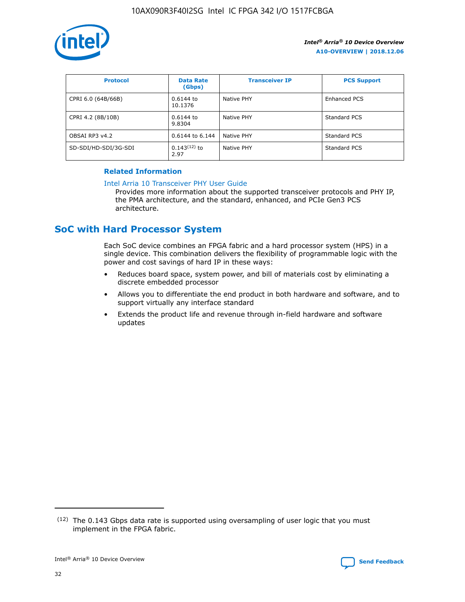

| <b>Protocol</b>      | <b>Data Rate</b><br>(Gbps) | <b>Transceiver IP</b> | <b>PCS Support</b> |
|----------------------|----------------------------|-----------------------|--------------------|
| CPRI 6.0 (64B/66B)   | 0.6144 to<br>10.1376       | Native PHY            | Enhanced PCS       |
| CPRI 4.2 (8B/10B)    | $0.6144$ to<br>9.8304      | Native PHY            | Standard PCS       |
| OBSAI RP3 v4.2       | 0.6144 to 6.144            | Native PHY            | Standard PCS       |
| SD-SDI/HD-SDI/3G-SDI | $0.143(12)$ to<br>2.97     | Native PHY            | Standard PCS       |

## **Related Information**

#### [Intel Arria 10 Transceiver PHY User Guide](https://www.intel.com/content/www/us/en/programmable/documentation/nik1398707230472.html#nik1398707091164)

Provides more information about the supported transceiver protocols and PHY IP, the PMA architecture, and the standard, enhanced, and PCIe Gen3 PCS architecture.

## **SoC with Hard Processor System**

Each SoC device combines an FPGA fabric and a hard processor system (HPS) in a single device. This combination delivers the flexibility of programmable logic with the power and cost savings of hard IP in these ways:

- Reduces board space, system power, and bill of materials cost by eliminating a discrete embedded processor
- Allows you to differentiate the end product in both hardware and software, and to support virtually any interface standard
- Extends the product life and revenue through in-field hardware and software updates

 $(12)$  The 0.143 Gbps data rate is supported using oversampling of user logic that you must implement in the FPGA fabric.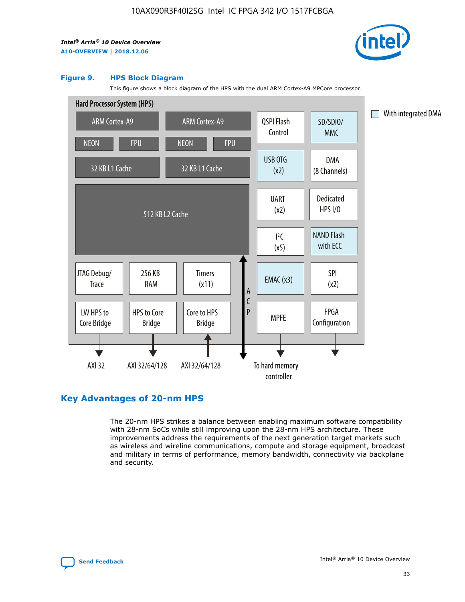

#### **Figure 9. HPS Block Diagram**

This figure shows a block diagram of the HPS with the dual ARM Cortex-A9 MPCore processor.



## **Key Advantages of 20-nm HPS**

The 20-nm HPS strikes a balance between enabling maximum software compatibility with 28-nm SoCs while still improving upon the 28-nm HPS architecture. These improvements address the requirements of the next generation target markets such as wireless and wireline communications, compute and storage equipment, broadcast and military in terms of performance, memory bandwidth, connectivity via backplane and security.

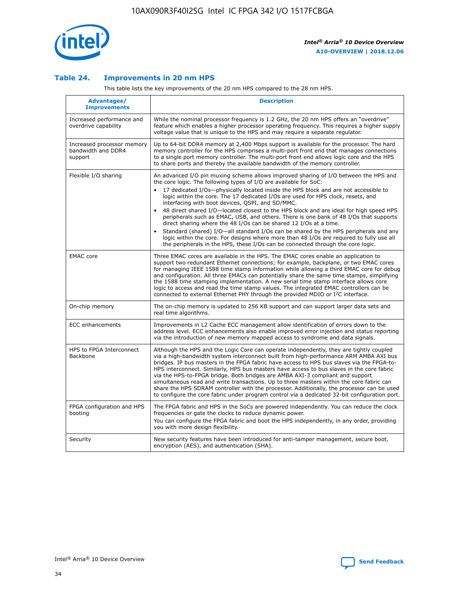

## **Table 24. Improvements in 20 nm HPS**

This table lists the key improvements of the 20 nm HPS compared to the 28 nm HPS.

| Advantages/<br><b>Improvements</b>                          | <b>Description</b>                                                                                                                                                                                                                                                                                                                                                                                                                                                                                                                                                                                                                                                                                                                                                                                                                                                                                                      |
|-------------------------------------------------------------|-------------------------------------------------------------------------------------------------------------------------------------------------------------------------------------------------------------------------------------------------------------------------------------------------------------------------------------------------------------------------------------------------------------------------------------------------------------------------------------------------------------------------------------------------------------------------------------------------------------------------------------------------------------------------------------------------------------------------------------------------------------------------------------------------------------------------------------------------------------------------------------------------------------------------|
| Increased performance and<br>overdrive capability           | While the nominal processor frequency is 1.2 GHz, the 20 nm HPS offers an "overdrive"<br>feature which enables a higher processor operating frequency. This requires a higher supply<br>voltage value that is unique to the HPS and may require a separate regulator.                                                                                                                                                                                                                                                                                                                                                                                                                                                                                                                                                                                                                                                   |
| Increased processor memory<br>bandwidth and DDR4<br>support | Up to 64-bit DDR4 memory at 2,400 Mbps support is available for the processor. The hard<br>memory controller for the HPS comprises a multi-port front end that manages connections<br>to a single port memory controller. The multi-port front end allows logic core and the HPS<br>to share ports and thereby the available bandwidth of the memory controller.                                                                                                                                                                                                                                                                                                                                                                                                                                                                                                                                                        |
| Flexible I/O sharing                                        | An advanced I/O pin muxing scheme allows improved sharing of I/O between the HPS and<br>the core logic. The following types of I/O are available for SoC:<br>17 dedicated I/Os-physically located inside the HPS block and are not accessible to<br>logic within the core. The 17 dedicated I/Os are used for HPS clock, resets, and<br>interfacing with boot devices, QSPI, and SD/MMC.<br>48 direct shared I/O-located closest to the HPS block and are ideal for high speed HPS<br>peripherals such as EMAC, USB, and others. There is one bank of 48 I/Os that supports<br>direct sharing where the 48 I/Os can be shared 12 I/Os at a time.<br>Standard (shared) I/O-all standard I/Os can be shared by the HPS peripherals and any<br>logic within the core. For designs where more than 48 I/Os are reguired to fully use all<br>the peripherals in the HPS, these I/Os can be connected through the core logic. |
| <b>EMAC</b> core                                            | Three EMAC cores are available in the HPS. The EMAC cores enable an application to<br>support two redundant Ethernet connections; for example, backplane, or two EMAC cores<br>for managing IEEE 1588 time stamp information while allowing a third EMAC core for debug<br>and configuration. All three EMACs can potentially share the same time stamps, simplifying<br>the 1588 time stamping implementation. A new serial time stamp interface allows core<br>logic to access and read the time stamp values. The integrated EMAC controllers can be<br>connected to external Ethernet PHY through the provided MDIO or I <sup>2</sup> C interface.                                                                                                                                                                                                                                                                  |
| On-chip memory                                              | The on-chip memory is updated to 256 KB support and can support larger data sets and<br>real time algorithms.                                                                                                                                                                                                                                                                                                                                                                                                                                                                                                                                                                                                                                                                                                                                                                                                           |
| <b>ECC</b> enhancements                                     | Improvements in L2 Cache ECC management allow identification of errors down to the<br>address level. ECC enhancements also enable improved error injection and status reporting<br>via the introduction of new memory mapped access to syndrome and data signals.                                                                                                                                                                                                                                                                                                                                                                                                                                                                                                                                                                                                                                                       |
| HPS to FPGA Interconnect<br>Backbone                        | Although the HPS and the Logic Core can operate independently, they are tightly coupled<br>via a high-bandwidth system interconnect built from high-performance ARM AMBA AXI bus<br>bridges. IP bus masters in the FPGA fabric have access to HPS bus slaves via the FPGA-to-<br>HPS interconnect. Similarly, HPS bus masters have access to bus slaves in the core fabric<br>via the HPS-to-FPGA bridge. Both bridges are AMBA AXI-3 compliant and support<br>simultaneous read and write transactions. Up to three masters within the core fabric can<br>share the HPS SDRAM controller with the processor. Additionally, the processor can be used<br>to configure the core fabric under program control via a dedicated 32-bit configuration port.                                                                                                                                                                  |
| FPGA configuration and HPS<br>booting                       | The FPGA fabric and HPS in the SoCs are powered independently. You can reduce the clock<br>frequencies or gate the clocks to reduce dynamic power.<br>You can configure the FPGA fabric and boot the HPS independently, in any order, providing<br>you with more design flexibility.                                                                                                                                                                                                                                                                                                                                                                                                                                                                                                                                                                                                                                    |
| Security                                                    | New security features have been introduced for anti-tamper management, secure boot,<br>encryption (AES), and authentication (SHA).                                                                                                                                                                                                                                                                                                                                                                                                                                                                                                                                                                                                                                                                                                                                                                                      |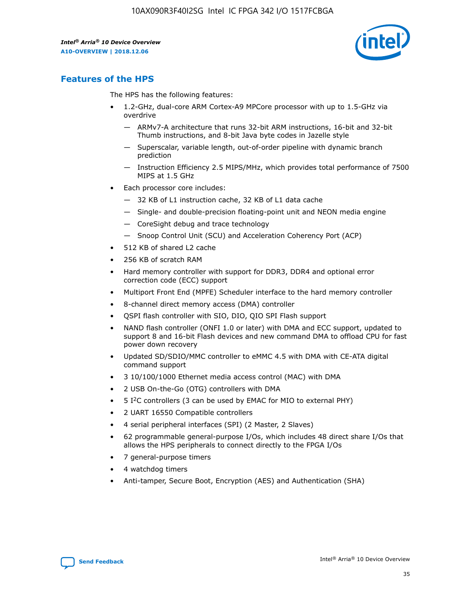

## **Features of the HPS**

The HPS has the following features:

- 1.2-GHz, dual-core ARM Cortex-A9 MPCore processor with up to 1.5-GHz via overdrive
	- ARMv7-A architecture that runs 32-bit ARM instructions, 16-bit and 32-bit Thumb instructions, and 8-bit Java byte codes in Jazelle style
	- Superscalar, variable length, out-of-order pipeline with dynamic branch prediction
	- Instruction Efficiency 2.5 MIPS/MHz, which provides total performance of 7500 MIPS at 1.5 GHz
- Each processor core includes:
	- 32 KB of L1 instruction cache, 32 KB of L1 data cache
	- Single- and double-precision floating-point unit and NEON media engine
	- CoreSight debug and trace technology
	- Snoop Control Unit (SCU) and Acceleration Coherency Port (ACP)
- 512 KB of shared L2 cache
- 256 KB of scratch RAM
- Hard memory controller with support for DDR3, DDR4 and optional error correction code (ECC) support
- Multiport Front End (MPFE) Scheduler interface to the hard memory controller
- 8-channel direct memory access (DMA) controller
- QSPI flash controller with SIO, DIO, QIO SPI Flash support
- NAND flash controller (ONFI 1.0 or later) with DMA and ECC support, updated to support 8 and 16-bit Flash devices and new command DMA to offload CPU for fast power down recovery
- Updated SD/SDIO/MMC controller to eMMC 4.5 with DMA with CE-ATA digital command support
- 3 10/100/1000 Ethernet media access control (MAC) with DMA
- 2 USB On-the-Go (OTG) controllers with DMA
- $\bullet$  5 I<sup>2</sup>C controllers (3 can be used by EMAC for MIO to external PHY)
- 2 UART 16550 Compatible controllers
- 4 serial peripheral interfaces (SPI) (2 Master, 2 Slaves)
- 62 programmable general-purpose I/Os, which includes 48 direct share I/Os that allows the HPS peripherals to connect directly to the FPGA I/Os
- 7 general-purpose timers
- 4 watchdog timers
- Anti-tamper, Secure Boot, Encryption (AES) and Authentication (SHA)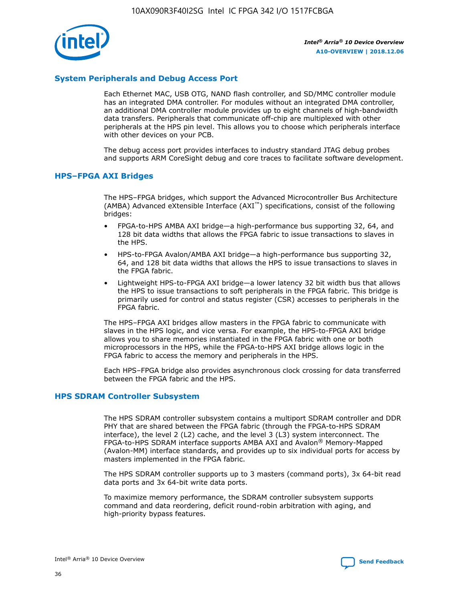

## **System Peripherals and Debug Access Port**

Each Ethernet MAC, USB OTG, NAND flash controller, and SD/MMC controller module has an integrated DMA controller. For modules without an integrated DMA controller, an additional DMA controller module provides up to eight channels of high-bandwidth data transfers. Peripherals that communicate off-chip are multiplexed with other peripherals at the HPS pin level. This allows you to choose which peripherals interface with other devices on your PCB.

The debug access port provides interfaces to industry standard JTAG debug probes and supports ARM CoreSight debug and core traces to facilitate software development.

## **HPS–FPGA AXI Bridges**

The HPS–FPGA bridges, which support the Advanced Microcontroller Bus Architecture (AMBA) Advanced eXtensible Interface (AXI™) specifications, consist of the following bridges:

- FPGA-to-HPS AMBA AXI bridge—a high-performance bus supporting 32, 64, and 128 bit data widths that allows the FPGA fabric to issue transactions to slaves in the HPS.
- HPS-to-FPGA Avalon/AMBA AXI bridge—a high-performance bus supporting 32, 64, and 128 bit data widths that allows the HPS to issue transactions to slaves in the FPGA fabric.
- Lightweight HPS-to-FPGA AXI bridge—a lower latency 32 bit width bus that allows the HPS to issue transactions to soft peripherals in the FPGA fabric. This bridge is primarily used for control and status register (CSR) accesses to peripherals in the FPGA fabric.

The HPS–FPGA AXI bridges allow masters in the FPGA fabric to communicate with slaves in the HPS logic, and vice versa. For example, the HPS-to-FPGA AXI bridge allows you to share memories instantiated in the FPGA fabric with one or both microprocessors in the HPS, while the FPGA-to-HPS AXI bridge allows logic in the FPGA fabric to access the memory and peripherals in the HPS.

Each HPS–FPGA bridge also provides asynchronous clock crossing for data transferred between the FPGA fabric and the HPS.

## **HPS SDRAM Controller Subsystem**

The HPS SDRAM controller subsystem contains a multiport SDRAM controller and DDR PHY that are shared between the FPGA fabric (through the FPGA-to-HPS SDRAM interface), the level 2 (L2) cache, and the level 3 (L3) system interconnect. The FPGA-to-HPS SDRAM interface supports AMBA AXI and Avalon® Memory-Mapped (Avalon-MM) interface standards, and provides up to six individual ports for access by masters implemented in the FPGA fabric.

The HPS SDRAM controller supports up to 3 masters (command ports), 3x 64-bit read data ports and 3x 64-bit write data ports.

To maximize memory performance, the SDRAM controller subsystem supports command and data reordering, deficit round-robin arbitration with aging, and high-priority bypass features.

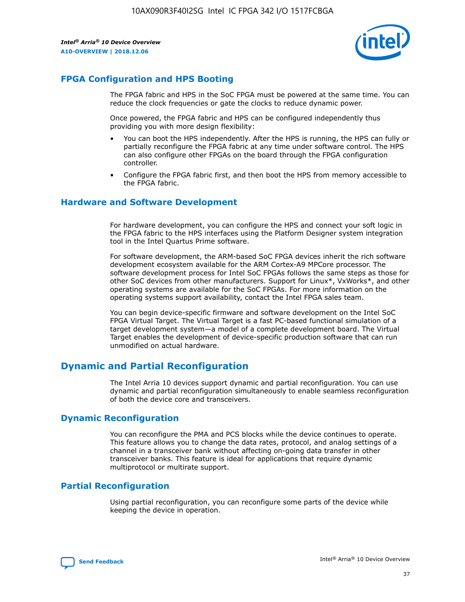

## **FPGA Configuration and HPS Booting**

The FPGA fabric and HPS in the SoC FPGA must be powered at the same time. You can reduce the clock frequencies or gate the clocks to reduce dynamic power.

Once powered, the FPGA fabric and HPS can be configured independently thus providing you with more design flexibility:

- You can boot the HPS independently. After the HPS is running, the HPS can fully or partially reconfigure the FPGA fabric at any time under software control. The HPS can also configure other FPGAs on the board through the FPGA configuration controller.
- Configure the FPGA fabric first, and then boot the HPS from memory accessible to the FPGA fabric.

## **Hardware and Software Development**

For hardware development, you can configure the HPS and connect your soft logic in the FPGA fabric to the HPS interfaces using the Platform Designer system integration tool in the Intel Quartus Prime software.

For software development, the ARM-based SoC FPGA devices inherit the rich software development ecosystem available for the ARM Cortex-A9 MPCore processor. The software development process for Intel SoC FPGAs follows the same steps as those for other SoC devices from other manufacturers. Support for Linux\*, VxWorks\*, and other operating systems are available for the SoC FPGAs. For more information on the operating systems support availability, contact the Intel FPGA sales team.

You can begin device-specific firmware and software development on the Intel SoC FPGA Virtual Target. The Virtual Target is a fast PC-based functional simulation of a target development system—a model of a complete development board. The Virtual Target enables the development of device-specific production software that can run unmodified on actual hardware.

## **Dynamic and Partial Reconfiguration**

The Intel Arria 10 devices support dynamic and partial reconfiguration. You can use dynamic and partial reconfiguration simultaneously to enable seamless reconfiguration of both the device core and transceivers.

## **Dynamic Reconfiguration**

You can reconfigure the PMA and PCS blocks while the device continues to operate. This feature allows you to change the data rates, protocol, and analog settings of a channel in a transceiver bank without affecting on-going data transfer in other transceiver banks. This feature is ideal for applications that require dynamic multiprotocol or multirate support.

## **Partial Reconfiguration**

Using partial reconfiguration, you can reconfigure some parts of the device while keeping the device in operation.

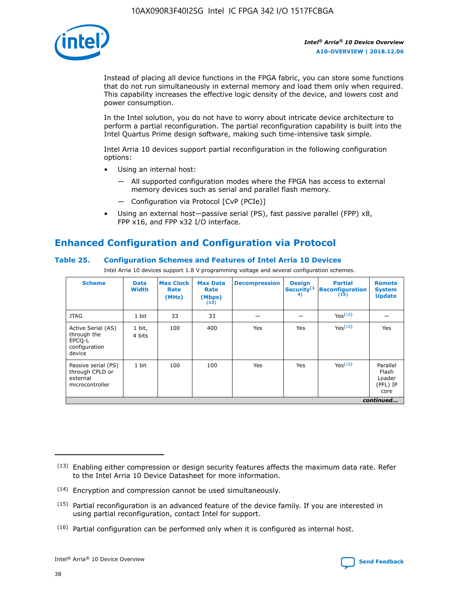

Instead of placing all device functions in the FPGA fabric, you can store some functions that do not run simultaneously in external memory and load them only when required. This capability increases the effective logic density of the device, and lowers cost and power consumption.

In the Intel solution, you do not have to worry about intricate device architecture to perform a partial reconfiguration. The partial reconfiguration capability is built into the Intel Quartus Prime design software, making such time-intensive task simple.

Intel Arria 10 devices support partial reconfiguration in the following configuration options:

- Using an internal host:
	- All supported configuration modes where the FPGA has access to external memory devices such as serial and parallel flash memory.
	- Configuration via Protocol [CvP (PCIe)]
- Using an external host—passive serial (PS), fast passive parallel (FPP) x8, FPP x16, and FPP x32 I/O interface.

# **Enhanced Configuration and Configuration via Protocol**

## **Table 25. Configuration Schemes and Features of Intel Arria 10 Devices**

Intel Arria 10 devices support 1.8 V programming voltage and several configuration schemes.

| <b>Scheme</b>                                                          | <b>Data</b><br><b>Width</b> | <b>Max Clock</b><br>Rate<br>(MHz) | <b>Max Data</b><br>Rate<br>(Mbps)<br>(13) | <b>Decompression</b> | <b>Design</b><br>Security <sup>(1</sup><br>4) | <b>Partial</b><br><b>Reconfiguration</b><br>(15) | <b>Remote</b><br><b>System</b><br><b>Update</b> |
|------------------------------------------------------------------------|-----------------------------|-----------------------------------|-------------------------------------------|----------------------|-----------------------------------------------|--------------------------------------------------|-------------------------------------------------|
| <b>JTAG</b>                                                            | 1 bit                       | 33                                | 33                                        |                      |                                               | Yes(16)                                          |                                                 |
| Active Serial (AS)<br>through the<br>EPCO-L<br>configuration<br>device | 1 bit,<br>4 bits            | 100                               | 400                                       | Yes                  | Yes                                           | $Y_{PS}(16)$                                     | Yes                                             |
| Passive serial (PS)<br>through CPLD or<br>external<br>microcontroller  | 1 bit                       | 100                               | 100                                       | Yes                  | Yes                                           | Yes(16)                                          | Parallel<br>Flash<br>Loader<br>(PFL) IP<br>core |
|                                                                        |                             |                                   |                                           |                      |                                               |                                                  | continued                                       |

<sup>(13)</sup> Enabling either compression or design security features affects the maximum data rate. Refer to the Intel Arria 10 Device Datasheet for more information.

<sup>(14)</sup> Encryption and compression cannot be used simultaneously.

 $(15)$  Partial reconfiguration is an advanced feature of the device family. If you are interested in using partial reconfiguration, contact Intel for support.

 $(16)$  Partial configuration can be performed only when it is configured as internal host.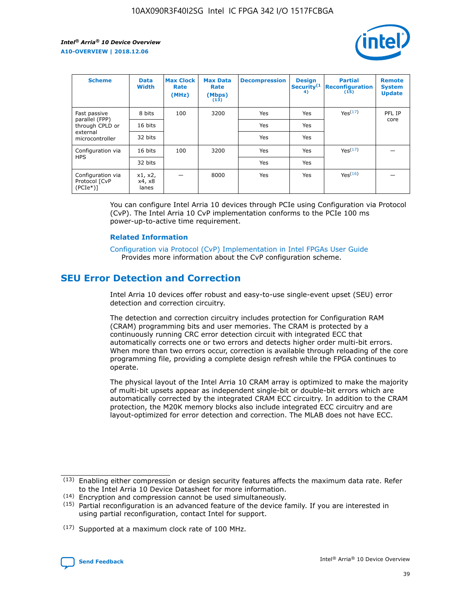

| <b>Scheme</b>                                   | <b>Data</b><br><b>Width</b> | <b>Max Clock</b><br>Rate<br>(MHz) | <b>Max Data</b><br>Rate<br>(Mbps)<br>(13) | <b>Decompression</b> | <b>Design</b><br>Security <sup>(1</sup><br>4) | <b>Partial</b><br><b>Reconfiguration</b><br>(15) | <b>Remote</b><br><b>System</b><br><b>Update</b> |
|-------------------------------------------------|-----------------------------|-----------------------------------|-------------------------------------------|----------------------|-----------------------------------------------|--------------------------------------------------|-------------------------------------------------|
| Fast passive                                    | 8 bits                      | 100                               | 3200                                      | Yes                  | Yes                                           | Yes(17)                                          | PFL IP                                          |
| parallel (FPP)<br>through CPLD or               | 16 bits                     |                                   |                                           | Yes                  | Yes                                           |                                                  | core                                            |
| external<br>microcontroller                     | 32 bits                     |                                   |                                           | Yes                  | Yes                                           |                                                  |                                                 |
| Configuration via                               | 16 bits                     | 100                               | 3200                                      | Yes                  | Yes                                           | Yes <sup>(17)</sup>                              |                                                 |
| <b>HPS</b>                                      | 32 bits                     |                                   |                                           | Yes                  | Yes                                           |                                                  |                                                 |
| Configuration via<br>Protocol [CvP<br>$(PCIe*)$ | x1, x2,<br>x4, x8<br>lanes  |                                   | 8000                                      | Yes                  | Yes                                           | Yes(16)                                          |                                                 |

You can configure Intel Arria 10 devices through PCIe using Configuration via Protocol (CvP). The Intel Arria 10 CvP implementation conforms to the PCIe 100 ms power-up-to-active time requirement.

#### **Related Information**

[Configuration via Protocol \(CvP\) Implementation in Intel FPGAs User Guide](https://www.intel.com/content/www/us/en/programmable/documentation/dsu1441819344145.html#dsu1442269728522) Provides more information about the CvP configuration scheme.

## **SEU Error Detection and Correction**

Intel Arria 10 devices offer robust and easy-to-use single-event upset (SEU) error detection and correction circuitry.

The detection and correction circuitry includes protection for Configuration RAM (CRAM) programming bits and user memories. The CRAM is protected by a continuously running CRC error detection circuit with integrated ECC that automatically corrects one or two errors and detects higher order multi-bit errors. When more than two errors occur, correction is available through reloading of the core programming file, providing a complete design refresh while the FPGA continues to operate.

The physical layout of the Intel Arria 10 CRAM array is optimized to make the majority of multi-bit upsets appear as independent single-bit or double-bit errors which are automatically corrected by the integrated CRAM ECC circuitry. In addition to the CRAM protection, the M20K memory blocks also include integrated ECC circuitry and are layout-optimized for error detection and correction. The MLAB does not have ECC.

<sup>(17)</sup> Supported at a maximum clock rate of 100 MHz.



 $(13)$  Enabling either compression or design security features affects the maximum data rate. Refer to the Intel Arria 10 Device Datasheet for more information.

<sup>(14)</sup> Encryption and compression cannot be used simultaneously.

 $(15)$  Partial reconfiguration is an advanced feature of the device family. If you are interested in using partial reconfiguration, contact Intel for support.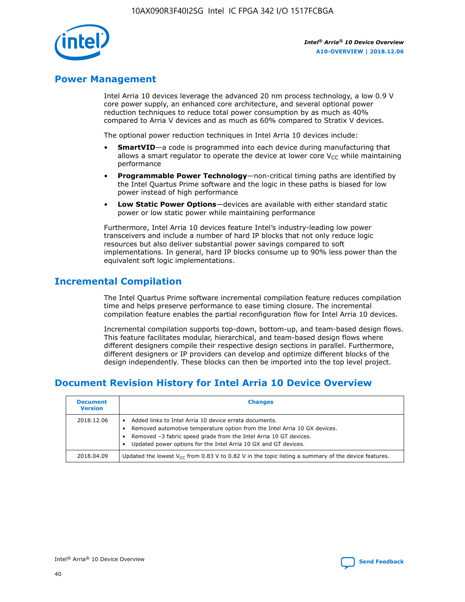

## **Power Management**

Intel Arria 10 devices leverage the advanced 20 nm process technology, a low 0.9 V core power supply, an enhanced core architecture, and several optional power reduction techniques to reduce total power consumption by as much as 40% compared to Arria V devices and as much as 60% compared to Stratix V devices.

The optional power reduction techniques in Intel Arria 10 devices include:

- **SmartVID**—a code is programmed into each device during manufacturing that allows a smart regulator to operate the device at lower core  $V_{CC}$  while maintaining performance
- **Programmable Power Technology**—non-critical timing paths are identified by the Intel Quartus Prime software and the logic in these paths is biased for low power instead of high performance
- **Low Static Power Options**—devices are available with either standard static power or low static power while maintaining performance

Furthermore, Intel Arria 10 devices feature Intel's industry-leading low power transceivers and include a number of hard IP blocks that not only reduce logic resources but also deliver substantial power savings compared to soft implementations. In general, hard IP blocks consume up to 90% less power than the equivalent soft logic implementations.

## **Incremental Compilation**

The Intel Quartus Prime software incremental compilation feature reduces compilation time and helps preserve performance to ease timing closure. The incremental compilation feature enables the partial reconfiguration flow for Intel Arria 10 devices.

Incremental compilation supports top-down, bottom-up, and team-based design flows. This feature facilitates modular, hierarchical, and team-based design flows where different designers compile their respective design sections in parallel. Furthermore, different designers or IP providers can develop and optimize different blocks of the design independently. These blocks can then be imported into the top level project.

# **Document Revision History for Intel Arria 10 Device Overview**

| <b>Document</b><br><b>Version</b> | <b>Changes</b>                                                                                                                                                                                                                                                              |
|-----------------------------------|-----------------------------------------------------------------------------------------------------------------------------------------------------------------------------------------------------------------------------------------------------------------------------|
| 2018.12.06                        | Added links to Intel Arria 10 device errata documents.<br>Removed automotive temperature option from the Intel Arria 10 GX devices.<br>Removed -3 fabric speed grade from the Intel Arria 10 GT devices.<br>Updated power options for the Intel Arria 10 GX and GT devices. |
| 2018.04.09                        | Updated the lowest $V_{CC}$ from 0.83 V to 0.82 V in the topic listing a summary of the device features.                                                                                                                                                                    |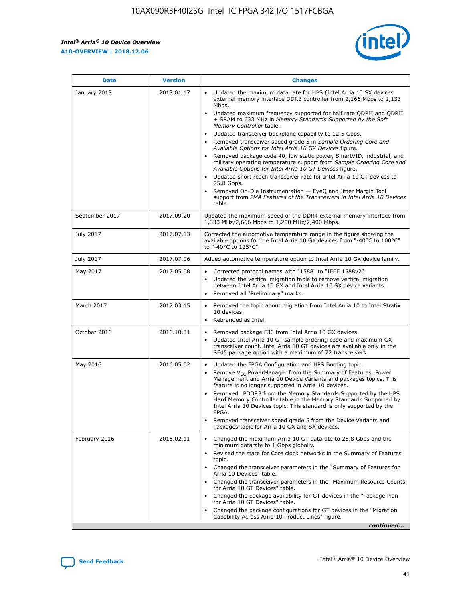*Intel® Arria® 10 Device Overview* **A10-OVERVIEW | 2018.12.06**



| <b>Date</b>    | <b>Version</b> | <b>Changes</b>                                                                                                                                                                                                                                                                                                                                                                                                                                                                                                                                                                                                                                                                                                                                                                                                                                                                                                                                                            |
|----------------|----------------|---------------------------------------------------------------------------------------------------------------------------------------------------------------------------------------------------------------------------------------------------------------------------------------------------------------------------------------------------------------------------------------------------------------------------------------------------------------------------------------------------------------------------------------------------------------------------------------------------------------------------------------------------------------------------------------------------------------------------------------------------------------------------------------------------------------------------------------------------------------------------------------------------------------------------------------------------------------------------|
| January 2018   | 2018.01.17     | Updated the maximum data rate for HPS (Intel Arria 10 SX devices<br>external memory interface DDR3 controller from 2,166 Mbps to 2,133<br>Mbps.<br>Updated maximum frequency supported for half rate QDRII and QDRII<br>+ SRAM to 633 MHz in Memory Standards Supported by the Soft<br>Memory Controller table.<br>Updated transceiver backplane capability to 12.5 Gbps.<br>$\bullet$<br>Removed transceiver speed grade 5 in Sample Ordering Core and<br>Available Options for Intel Arria 10 GX Devices figure.<br>Removed package code 40, low static power, SmartVID, industrial, and<br>military operating temperature support from Sample Ordering Core and<br>Available Options for Intel Arria 10 GT Devices figure.<br>Updated short reach transceiver rate for Intel Arria 10 GT devices to<br>25.8 Gbps.<br>Removed On-Die Instrumentation - EyeQ and Jitter Margin Tool<br>support from PMA Features of the Transceivers in Intel Arria 10 Devices<br>table. |
| September 2017 | 2017.09.20     | Updated the maximum speed of the DDR4 external memory interface from<br>1,333 MHz/2,666 Mbps to 1,200 MHz/2,400 Mbps.                                                                                                                                                                                                                                                                                                                                                                                                                                                                                                                                                                                                                                                                                                                                                                                                                                                     |
| July 2017      | 2017.07.13     | Corrected the automotive temperature range in the figure showing the<br>available options for the Intel Arria 10 GX devices from "-40°C to 100°C"<br>to "-40°C to 125°C".                                                                                                                                                                                                                                                                                                                                                                                                                                                                                                                                                                                                                                                                                                                                                                                                 |
| July 2017      | 2017.07.06     | Added automotive temperature option to Intel Arria 10 GX device family.                                                                                                                                                                                                                                                                                                                                                                                                                                                                                                                                                                                                                                                                                                                                                                                                                                                                                                   |
| May 2017       | 2017.05.08     | Corrected protocol names with "1588" to "IEEE 1588v2".<br>Updated the vertical migration table to remove vertical migration<br>between Intel Arria 10 GX and Intel Arria 10 SX device variants.<br>Removed all "Preliminary" marks.                                                                                                                                                                                                                                                                                                                                                                                                                                                                                                                                                                                                                                                                                                                                       |
| March 2017     | 2017.03.15     | Removed the topic about migration from Intel Arria 10 to Intel Stratix<br>10 devices.<br>Rebranded as Intel.<br>$\bullet$                                                                                                                                                                                                                                                                                                                                                                                                                                                                                                                                                                                                                                                                                                                                                                                                                                                 |
| October 2016   | 2016.10.31     | Removed package F36 from Intel Arria 10 GX devices.<br>Updated Intel Arria 10 GT sample ordering code and maximum GX<br>$\bullet$<br>transceiver count. Intel Arria 10 GT devices are available only in the<br>SF45 package option with a maximum of 72 transceivers.                                                                                                                                                                                                                                                                                                                                                                                                                                                                                                                                                                                                                                                                                                     |
| May 2016       | 2016.05.02     | Updated the FPGA Configuration and HPS Booting topic.<br>Remove V <sub>CC</sub> PowerManager from the Summary of Features, Power<br>Management and Arria 10 Device Variants and packages topics. This<br>feature is no longer supported in Arria 10 devices.<br>Removed LPDDR3 from the Memory Standards Supported by the HPS<br>Hard Memory Controller table in the Memory Standards Supported by<br>Intel Arria 10 Devices topic. This standard is only supported by the<br>FPGA.<br>Removed transceiver speed grade 5 from the Device Variants and<br>Packages topic for Arria 10 GX and SX devices.                                                                                                                                                                                                                                                                                                                                                                   |
| February 2016  | 2016.02.11     | Changed the maximum Arria 10 GT datarate to 25.8 Gbps and the<br>minimum datarate to 1 Gbps globally.<br>Revised the state for Core clock networks in the Summary of Features<br>$\bullet$<br>topic.<br>Changed the transceiver parameters in the "Summary of Features for<br>Arria 10 Devices" table.<br>• Changed the transceiver parameters in the "Maximum Resource Counts<br>for Arria 10 GT Devices" table.<br>• Changed the package availability for GT devices in the "Package Plan<br>for Arria 10 GT Devices" table.<br>Changed the package configurations for GT devices in the "Migration"<br>Capability Across Arria 10 Product Lines" figure.<br>continued                                                                                                                                                                                                                                                                                                  |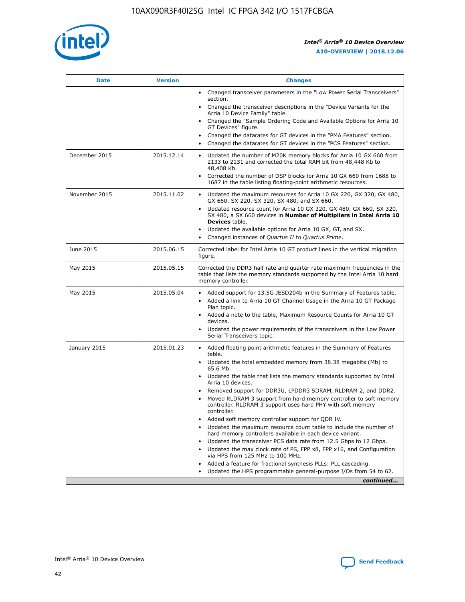

| <b>Date</b>   | <b>Version</b> | <b>Changes</b>                                                                                                                                                               |
|---------------|----------------|------------------------------------------------------------------------------------------------------------------------------------------------------------------------------|
|               |                | • Changed transceiver parameters in the "Low Power Serial Transceivers"<br>section.                                                                                          |
|               |                | • Changed the transceiver descriptions in the "Device Variants for the<br>Arria 10 Device Family" table.                                                                     |
|               |                | Changed the "Sample Ordering Code and Available Options for Arria 10<br>$\bullet$<br>GT Devices" figure.                                                                     |
|               |                | Changed the datarates for GT devices in the "PMA Features" section.                                                                                                          |
|               |                | Changed the datarates for GT devices in the "PCS Features" section.<br>$\bullet$                                                                                             |
| December 2015 | 2015.12.14     | Updated the number of M20K memory blocks for Arria 10 GX 660 from<br>2133 to 2131 and corrected the total RAM bit from 48,448 Kb to<br>48,408 Kb.                            |
|               |                | Corrected the number of DSP blocks for Arria 10 GX 660 from 1688 to<br>1687 in the table listing floating-point arithmetic resources.                                        |
| November 2015 | 2015.11.02     | Updated the maximum resources for Arria 10 GX 220, GX 320, GX 480,<br>$\bullet$<br>GX 660, SX 220, SX 320, SX 480, and SX 660.                                               |
|               |                | • Updated resource count for Arria 10 GX 320, GX 480, GX 660, SX 320,<br>SX 480, a SX 660 devices in Number of Multipliers in Intel Arria 10<br><b>Devices</b> table.        |
|               |                | Updated the available options for Arria 10 GX, GT, and SX.                                                                                                                   |
|               |                | Changed instances of Quartus II to Quartus Prime.<br>$\bullet$                                                                                                               |
| June 2015     | 2015.06.15     | Corrected label for Intel Arria 10 GT product lines in the vertical migration<br>figure.                                                                                     |
| May 2015      | 2015.05.15     | Corrected the DDR3 half rate and quarter rate maximum frequencies in the<br>table that lists the memory standards supported by the Intel Arria 10 hard<br>memory controller. |
| May 2015      | 2015.05.04     | • Added support for 13.5G JESD204b in the Summary of Features table.                                                                                                         |
|               |                | • Added a link to Arria 10 GT Channel Usage in the Arria 10 GT Package<br>Plan topic.                                                                                        |
|               |                | • Added a note to the table, Maximum Resource Counts for Arria 10 GT<br>devices.                                                                                             |
|               |                | • Updated the power requirements of the transceivers in the Low Power<br>Serial Transceivers topic.                                                                          |
| January 2015  | 2015.01.23     | • Added floating point arithmetic features in the Summary of Features<br>table.                                                                                              |
|               |                | • Updated the total embedded memory from 38.38 megabits (Mb) to<br>65.6 Mb.                                                                                                  |
|               |                | • Updated the table that lists the memory standards supported by Intel<br>Arria 10 devices.                                                                                  |
|               |                | Removed support for DDR3U, LPDDR3 SDRAM, RLDRAM 2, and DDR2.                                                                                                                 |
|               |                | Moved RLDRAM 3 support from hard memory controller to soft memory<br>controller. RLDRAM 3 support uses hard PHY with soft memory<br>controller.                              |
|               |                | Added soft memory controller support for QDR IV.<br>٠                                                                                                                        |
|               |                | Updated the maximum resource count table to include the number of<br>hard memory controllers available in each device variant.                                               |
|               |                | Updated the transceiver PCS data rate from 12.5 Gbps to 12 Gbps.<br>$\bullet$                                                                                                |
|               |                | Updated the max clock rate of PS, FPP x8, FPP x16, and Configuration<br>via HPS from 125 MHz to 100 MHz.                                                                     |
|               |                | Added a feature for fractional synthesis PLLs: PLL cascading.                                                                                                                |
|               |                | Updated the HPS programmable general-purpose I/Os from 54 to 62.<br>$\bullet$                                                                                                |
|               |                | continued                                                                                                                                                                    |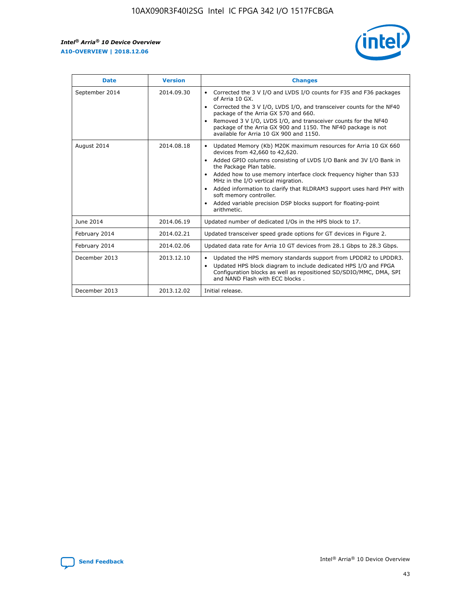r



| <b>Date</b>    | <b>Version</b> | <b>Changes</b>                                                                                                                                                                                                                                                                                                                                                                                                                                                                                                                                      |
|----------------|----------------|-----------------------------------------------------------------------------------------------------------------------------------------------------------------------------------------------------------------------------------------------------------------------------------------------------------------------------------------------------------------------------------------------------------------------------------------------------------------------------------------------------------------------------------------------------|
| September 2014 | 2014.09.30     | Corrected the 3 V I/O and LVDS I/O counts for F35 and F36 packages<br>$\bullet$<br>of Arria 10 GX.<br>Corrected the 3 V I/O, LVDS I/O, and transceiver counts for the NF40<br>$\bullet$<br>package of the Arria GX 570 and 660.<br>Removed 3 V I/O, LVDS I/O, and transceiver counts for the NF40<br>package of the Arria GX 900 and 1150. The NF40 package is not<br>available for Arria 10 GX 900 and 1150.                                                                                                                                       |
| August 2014    | 2014.08.18     | Updated Memory (Kb) M20K maximum resources for Arria 10 GX 660<br>devices from 42,660 to 42,620.<br>Added GPIO columns consisting of LVDS I/O Bank and 3V I/O Bank in<br>$\bullet$<br>the Package Plan table.<br>Added how to use memory interface clock frequency higher than 533<br>$\bullet$<br>MHz in the I/O vertical migration.<br>Added information to clarify that RLDRAM3 support uses hard PHY with<br>$\bullet$<br>soft memory controller.<br>Added variable precision DSP blocks support for floating-point<br>$\bullet$<br>arithmetic. |
| June 2014      | 2014.06.19     | Updated number of dedicated I/Os in the HPS block to 17.                                                                                                                                                                                                                                                                                                                                                                                                                                                                                            |
| February 2014  | 2014.02.21     | Updated transceiver speed grade options for GT devices in Figure 2.                                                                                                                                                                                                                                                                                                                                                                                                                                                                                 |
| February 2014  | 2014.02.06     | Updated data rate for Arria 10 GT devices from 28.1 Gbps to 28.3 Gbps.                                                                                                                                                                                                                                                                                                                                                                                                                                                                              |
| December 2013  | 2013.12.10     | Updated the HPS memory standards support from LPDDR2 to LPDDR3.<br>Updated HPS block diagram to include dedicated HPS I/O and FPGA<br>$\bullet$<br>Configuration blocks as well as repositioned SD/SDIO/MMC, DMA, SPI<br>and NAND Flash with ECC blocks.                                                                                                                                                                                                                                                                                            |
| December 2013  | 2013.12.02     | Initial release.                                                                                                                                                                                                                                                                                                                                                                                                                                                                                                                                    |